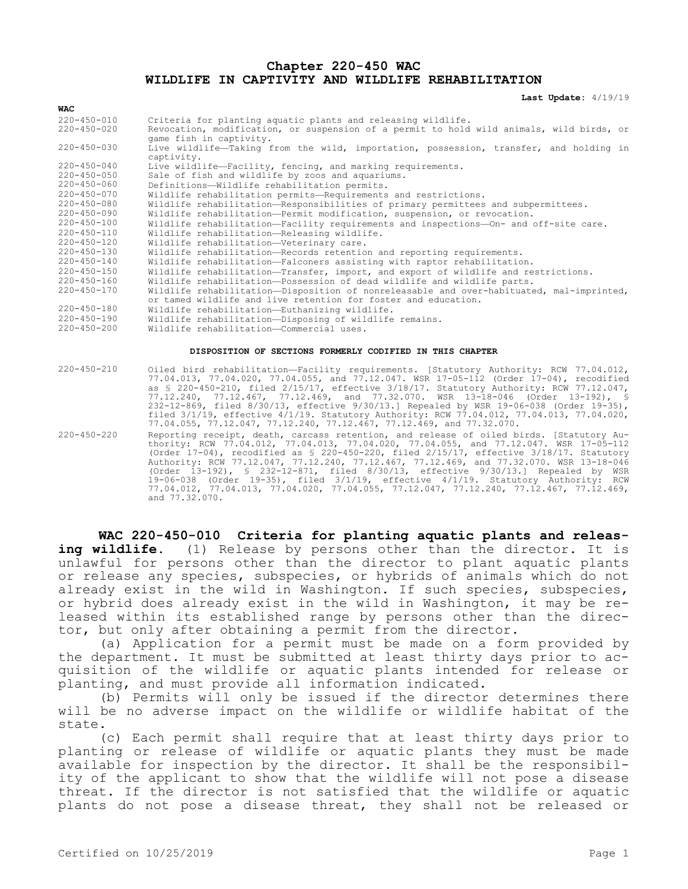#### **Chapter 220-450 WAC WILDLIFE IN CAPTIVITY AND WILDLIFE REHABILITATION**

**Last Update:** 4/19/19

| <b>WAC</b>        |                                                                                                     |  |
|-------------------|-----------------------------------------------------------------------------------------------------|--|
| $220 - 450 - 010$ | Criteria for planting aquatic plants and releasing wildlife.                                        |  |
| $220 - 450 - 020$ | Revocation, modification, or suspension of a permit to hold wild animals, wild birds, or            |  |
|                   | game fish in captivity.                                                                             |  |
| $220 - 450 - 030$ | Live wildlife-Taking from the wild, importation, possession, transfer, and holding in<br>captivity. |  |
| $220 - 450 - 040$ | Live wildlife-Facility, fencing, and marking requirements.                                          |  |
| $220 - 450 - 050$ | Sale of fish and wildlife by zoos and aquariums.                                                    |  |
| $220 - 450 - 060$ | Definitions-Wildlife rehabilitation permits.                                                        |  |
| $220 - 450 - 070$ | Wildlife rehabilitation permits-Requirements and restrictions.                                      |  |
| $220 - 450 - 080$ | Wildlife rehabilitation-Responsibilities of primary permittees and subpermittees.                   |  |
| 220-450-090       | Wildlife rehabilitation-Permit modification, suspension, or revocation.                             |  |
| $220 - 450 - 100$ | Wildlife rehabilitation-Facility requirements and inspections-On- and off-site care.                |  |
| $220 - 450 - 110$ | Wildlife rehabilitation-Releasing wildlife.                                                         |  |
| $220 - 450 - 120$ | Wildlife rehabilitation-Veterinary care.                                                            |  |
| $220 - 450 - 130$ | Wildlife rehabilitation-Records retention and reporting requirements.                               |  |
| $220 - 450 - 140$ | Wildlife rehabilitation-Falconers assisting with raptor rehabilitation.                             |  |
| $220 - 450 - 150$ | Wildlife rehabilitation-Transfer, import, and export of wildlife and restrictions.                  |  |
| $220 - 450 - 160$ | Wildlife rehabilitation-Possession of dead wildlife and wildlife parts.                             |  |
| $220 - 450 - 170$ | Wildlife rehabilitation-Disposition of nonreleasable and over-habituated, mal-imprinted,            |  |
|                   | or tamed wildlife and live retention for foster and education.                                      |  |
| $220 - 450 - 180$ | Wildlife rehabilitation-Euthanizing wildlife.                                                       |  |
| 220-450-190       | Wildlife rehabilitation-Disposing of wildlife remains.                                              |  |
| $220 - 450 - 200$ | Wildlife rehabilitation-Commercial uses.                                                            |  |
|                   |                                                                                                     |  |

#### **DISPOSITION OF SECTIONS FORMERLY CODIFIED IN THIS CHAPTER**

| $220 - 450 - 210$ | Oiled bird rehabilitation-Facility requirements. [Statutory Authority: RCW 77.04.012,<br>77.04.013, 77.04.020, 77.04.055, and 77.12.047. WSR 17-05-112 (Order 17-04), recodified<br>as $\S$ 220-450-210, filed 2/15/17, effective 3/18/17. Statutory Authority: RCW 77.12.047,<br>77.12.240, 77.12.467, 77.12.469, and 77.32.070. WSR 13-18-046 (Order 13-192), §<br>$232-12-869$ , filed $8/30/13$ , effective $9/30/13$ . Repealed by WSR 19-06-038 (Order 19-35),<br>filed $3/1/19$ , effective $4/1/19$ . Statutory Authority: RCW 77.04.012, 77.04.013, 77.04.020,<br>77.04.055, 77.12.047, 77.12.240, 77.12.467, 77.12.469, and 77.32.070.                                                         |
|-------------------|----------------------------------------------------------------------------------------------------------------------------------------------------------------------------------------------------------------------------------------------------------------------------------------------------------------------------------------------------------------------------------------------------------------------------------------------------------------------------------------------------------------------------------------------------------------------------------------------------------------------------------------------------------------------------------------------------------|
| $220 - 450 - 220$ | Reporting receipt, death, carcass retention, and release of oiled birds. [Statutory Au-<br>thority: RCW 77.04.012, 77.04.013, 77.04.020, 77.04.055, and 77.12.047. WSR 17-05-112<br>(Order $17-04$ ), recodified as § 220-450-220, filed $2/15/17$ , effective $3/18/17$ . Statutory<br>Authority: RCW 77.12.047, 77.12.240, 77.12.467, 77.12.469, and 77.32.070. WSR 13-18-046<br>(Order 13-192), § 232-12-871, filed 8/30/13, effective 9/30/13.] Repealed by WSR<br>$19-06-038$ (Order $19-35$ ), filed $3/1/19$ , effective $4/1/19$ . Statutory Authority: RCW<br>$77.04.012$ , $77.04.013$ , $77.04.020$ , $77.04.055$ , $77.12.047$ , $77.12.240$ , $77.12.467$ , $77.12.469$ ,<br>and 77.32.070. |

**WAC 220-450-010 Criteria for planting aquatic plants and releas**ing wildlife. (1) Release by persons other than the director. It is unlawful for persons other than the director to plant aquatic plants or release any species, subspecies, or hybrids of animals which do not already exist in the wild in Washington. If such species, subspecies, or hybrid does already exist in the wild in Washington, it may be released within its established range by persons other than the director, but only after obtaining a permit from the director.

(a) Application for a permit must be made on a form provided by the department. It must be submitted at least thirty days prior to acquisition of the wildlife or aquatic plants intended for release or planting, and must provide all information indicated.

(b) Permits will only be issued if the director determines there will be no adverse impact on the wildlife or wildlife habitat of the state.

(c) Each permit shall require that at least thirty days prior to planting or release of wildlife or aquatic plants they must be made available for inspection by the director. It shall be the responsibility of the applicant to show that the wildlife will not pose a disease threat. If the director is not satisfied that the wildlife or aquatic plants do not pose a disease threat, they shall not be released or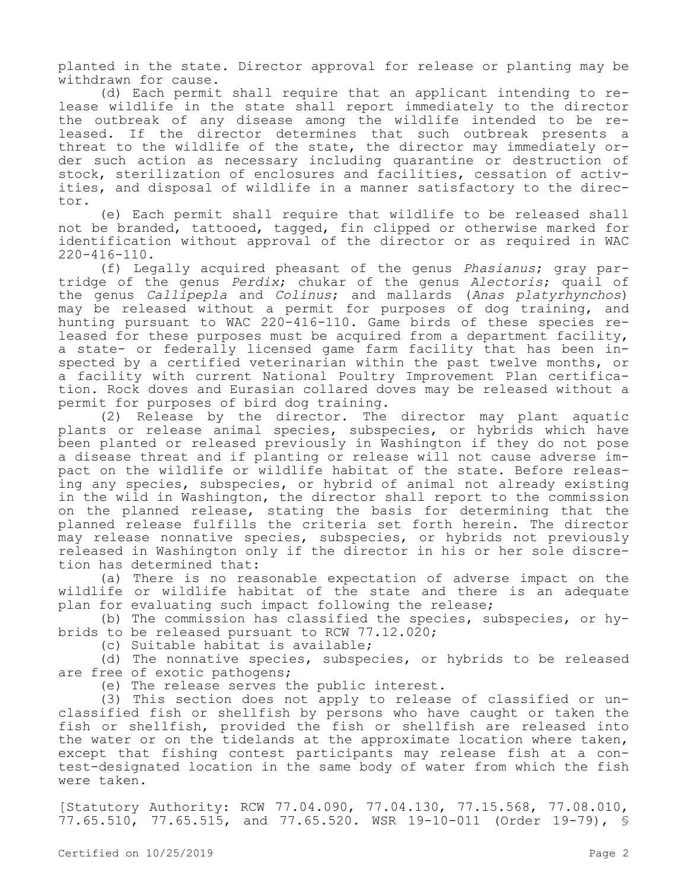planted in the state. Director approval for release or planting may be withdrawn for cause.

(d) Each permit shall require that an applicant intending to release wildlife in the state shall report immediately to the director the outbreak of any disease among the wildlife intended to be released. If the director determines that such outbreak presents a threat to the wildlife of the state, the director may immediately order such action as necessary including quarantine or destruction of stock, sterilization of enclosures and facilities, cessation of activities, and disposal of wildlife in a manner satisfactory to the director.

(e) Each permit shall require that wildlife to be released shall not be branded, tattooed, tagged, fin clipped or otherwise marked for identification without approval of the director or as required in WAC 220-416-110.

(f) Legally acquired pheasant of the genus *Phasianus*; gray partridge of the genus *Perdix*; chukar of the genus *Alectoris*; quail of the genus *Callipepla* and *Colinus*; and mallards (*Anas platyrhynchos*) may be released without a permit for purposes of dog training, and hunting pursuant to WAC 220-416-110. Game birds of these species released for these purposes must be acquired from a department facility, a state- or federally licensed game farm facility that has been inspected by a certified veterinarian within the past twelve months, or a facility with current National Poultry Improvement Plan certification. Rock doves and Eurasian collared doves may be released without a permit for purposes of bird dog training.<br>(2) Release by the director. The

Release by the director. The director may plant aquatic plants or release animal species, subspecies, or hybrids which have been planted or released previously in Washington if they do not pose a disease threat and if planting or release will not cause adverse impact on the wildlife or wildlife habitat of the state. Before releasing any species, subspecies, or hybrid of animal not already existing in the wild in Washington, the director shall report to the commission on the planned release, stating the basis for determining that the planned release fulfills the criteria set forth herein. The director may release nonnative species, subspecies, or hybrids not previously released in Washington only if the director in his or her sole discretion has determined that:

(a) There is no reasonable expectation of adverse impact on the wildlife or wildlife habitat of the state and there is an adequate plan for evaluating such impact following the release;

(b) The commission has classified the species, subspecies, or hybrids to be released pursuant to RCW 77.12.020;

(c) Suitable habitat is available;

(d) The nonnative species, subspecies, or hybrids to be released are free of exotic pathogens;

(e) The release serves the public interest.

(3) This section does not apply to release of classified or unclassified fish or shellfish by persons who have caught or taken the fish or shellfish, provided the fish or shellfish are released into the water or on the tidelands at the approximate location where taken, except that fishing contest participants may release fish at a contest-designated location in the same body of water from which the fish were taken.

[Statutory Authority: RCW 77.04.090, 77.04.130, 77.15.568, 77.08.010, 77.65.510, 77.65.515, and 77.65.520. WSR 19-10-011 (Order 19-79), §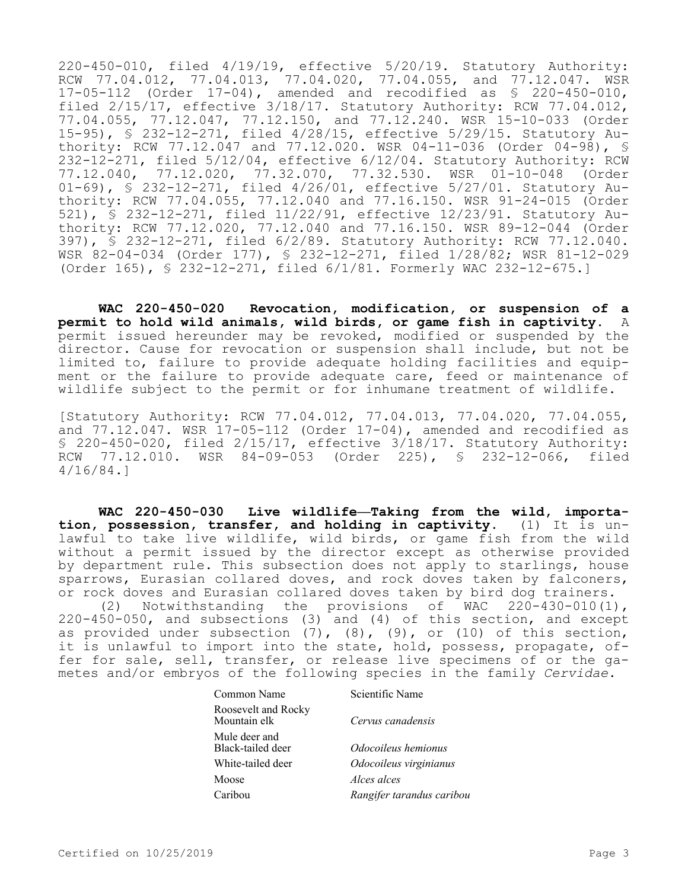220-450-010, filed 4/19/19, effective 5/20/19. Statutory Authority: RCW 77.04.012, 77.04.013, 77.04.020, 77.04.055, and 77.12.047. WSR 17-05-112 (Order 17-04), amended and recodified as § 220-450-010, filed 2/15/17, effective 3/18/17. Statutory Authority: RCW 77.04.012, 77.04.055, 77.12.047, 77.12.150, and 77.12.240. WSR 15-10-033 (Order 15-95), § 232-12-271, filed 4/28/15, effective 5/29/15. Statutory Authority: RCW 77.12.047 and 77.12.020. WSR 04-11-036 (Order 04-98), § 232-12-271, filed 5/12/04, effective 6/12/04. Statutory Authority: RCW 77.12.040, 77.12.020, 77.32.070, 77.32.530. WSR 01-10-048 (Order 01-69), § 232-12-271, filed 4/26/01, effective 5/27/01. Statutory Authority: RCW 77.04.055, 77.12.040 and 77.16.150. WSR 91-24-015 (Order 521), § 232-12-271, filed 11/22/91, effective 12/23/91. Statutory Authority: RCW 77.12.020, 77.12.040 and 77.16.150. WSR 89-12-044 (Order 397), § 232-12-271, filed 6/2/89. Statutory Authority: RCW 77.12.040. WSR 82-04-034 (Order 177), § 232-12-271, filed 1/28/82; WSR 81-12-029 (Order 165), § 232-12-271, filed 6/1/81. Formerly WAC 232-12-675.]

**WAC 220-450-020 Revocation, modification, or suspension of a permit to hold wild animals, wild birds, or game fish in captivity.** A permit issued hereunder may be revoked, modified or suspended by the director. Cause for revocation or suspension shall include, but not be limited to, failure to provide adequate holding facilities and equipment or the failure to provide adequate care, feed or maintenance of wildlife subject to the permit or for inhumane treatment of wildlife.

[Statutory Authority: RCW 77.04.012, 77.04.013, 77.04.020, 77.04.055, and 77.12.047. WSR 17-05-112 (Order 17-04), amended and recodified as § 220-450-020, filed 2/15/17, effective 3/18/17. Statutory Authority: RCW 77.12.010. WSR 84-09-053 (Order 225), § 232-12-066, filed 4/16/84.]

**WAC 220-450-030 Live wildlife—Taking from the wild, importation, possession, transfer, and holding in captivity.** (1) It is unlawful to take live wildlife, wild birds, or game fish from the wild without a permit issued by the director except as otherwise provided by department rule. This subsection does not apply to starlings, house sparrows, Eurasian collared doves, and rock doves taken by falconers, or rock doves and Eurasian collared doves taken by bird dog trainers.

(2) Notwithstanding the provisions of WAC 220-430-010(1), 220-450-050, and subsections (3) and (4) of this section, and except as provided under subsection  $(7)$ ,  $(8)$ ,  $(9)$ , or  $(10)$  of this section, it is unlawful to import into the state, hold, possess, propagate, offer for sale, sell, transfer, or release live specimens of or the gametes and/or embryos of the following species in the family *Cervidae*.

| Common Name                         | Scientific Name           |  |
|-------------------------------------|---------------------------|--|
| Roosevelt and Rocky<br>Mountain elk | Cervus canadensis         |  |
| Mule deer and<br>Black-tailed deer  | Odocoileus hemionus       |  |
| White-tailed deer                   | Odocoileus virginianus    |  |
| Moose                               | Alces alces               |  |
| Caribou                             | Rangifer tarandus caribou |  |
|                                     |                           |  |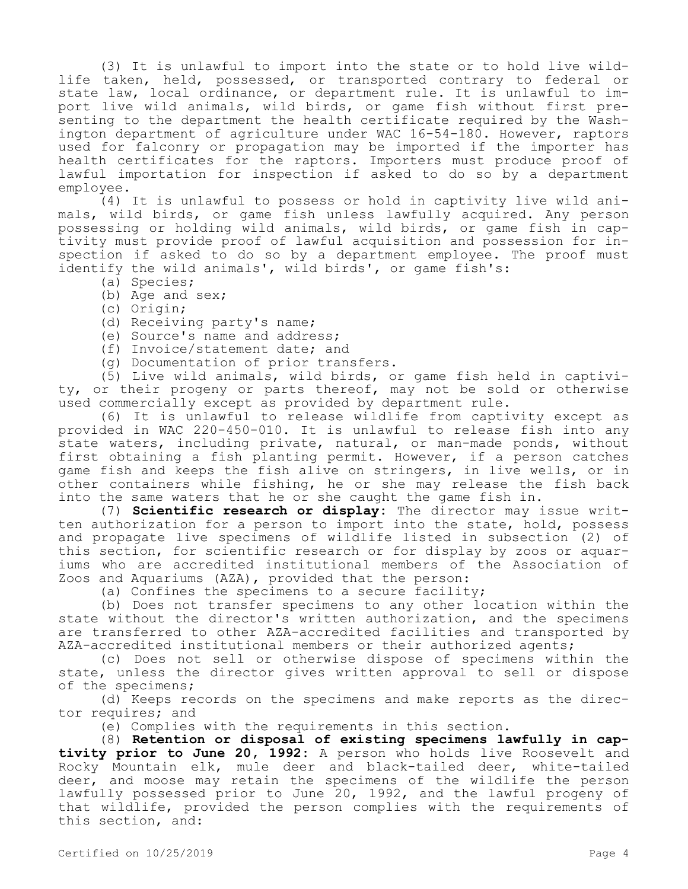(3) It is unlawful to import into the state or to hold live wildlife taken, held, possessed, or transported contrary to federal or state law, local ordinance, or department rule. It is unlawful to import live wild animals, wild birds, or game fish without first presenting to the department the health certificate required by the Washington department of agriculture under WAC 16-54-180. However, raptors used for falconry or propagation may be imported if the importer has health certificates for the raptors. Importers must produce proof of lawful importation for inspection if asked to do so by a department employee.

(4) It is unlawful to possess or hold in captivity live wild animals, wild birds, or game fish unless lawfully acquired. Any person possessing or holding wild animals, wild birds, or game fish in captivity must provide proof of lawful acquisition and possession for inspection if asked to do so by a department employee. The proof must identify the wild animals', wild birds', or game fish's:

- (a) Species;
- (b) Age and sex;
- (c) Origin;
- (d) Receiving party's name;
- (e) Source's name and address;
- (f) Invoice/statement date; and
- (g) Documentation of prior transfers.

(5) Live wild animals, wild birds, or game fish held in captivity, or their progeny or parts thereof, may not be sold or otherwise used commercially except as provided by department rule.

(6) It is unlawful to release wildlife from captivity except as provided in WAC 220-450-010. It is unlawful to release fish into any state waters, including private, natural, or man-made ponds, without first obtaining a fish planting permit. However, if a person catches game fish and keeps the fish alive on stringers, in live wells, or in other containers while fishing, he or she may release the fish back into the same waters that he or she caught the game fish in.

(7) **Scientific research or display:** The director may issue written authorization for a person to import into the state, hold, possess and propagate live specimens of wildlife listed in subsection (2) of this section, for scientific research or for display by zoos or aquariums who are accredited institutional members of the Association of Zoos and Aquariums (AZA), provided that the person:

(a) Confines the specimens to a secure facility;

(b) Does not transfer specimens to any other location within the state without the director's written authorization, and the specimens are transferred to other AZA-accredited facilities and transported by AZA-accredited institutional members or their authorized agents;

(c) Does not sell or otherwise dispose of specimens within the state, unless the director gives written approval to sell or dispose of the specimens;

(d) Keeps records on the specimens and make reports as the director requires; and

(e) Complies with the requirements in this section.

(8) **Retention or disposal of existing specimens lawfully in captivity prior to June 20, 1992:** A person who holds live Roosevelt and Rocky Mountain elk, mule deer and black-tailed deer, white-tailed deer, and moose may retain the specimens of the wildlife the person lawfully possessed prior to June 20, 1992, and the lawful progeny of that wildlife, provided the person complies with the requirements of this section, and: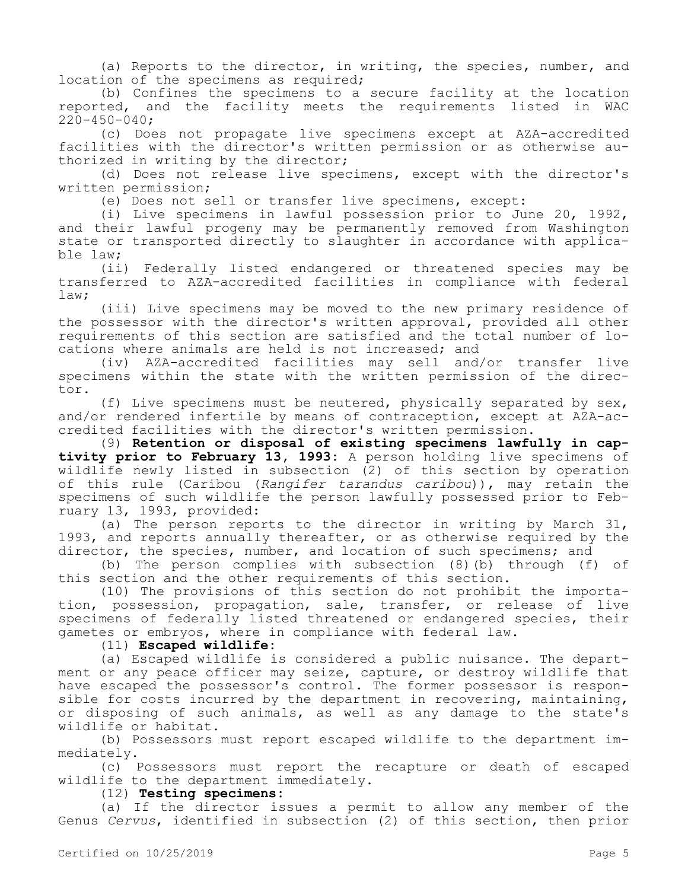(a) Reports to the director, in writing, the species, number, and location of the specimens as required;

(b) Confines the specimens to a secure facility at the location reported, and the facility meets the requirements listed in WAC  $220 - 450 - 040;$ 

(c) Does not propagate live specimens except at AZA-accredited facilities with the director's written permission or as otherwise authorized in writing by the director;

(d) Does not release live specimens, except with the director's written permission;

(e) Does not sell or transfer live specimens, except:

(i) Live specimens in lawful possession prior to June 20, 1992, and their lawful progeny may be permanently removed from Washington state or transported directly to slaughter in accordance with applicable law;

(ii) Federally listed endangered or threatened species may be transferred to AZA-accredited facilities in compliance with federal law;

(iii) Live specimens may be moved to the new primary residence of the possessor with the director's written approval, provided all other requirements of this section are satisfied and the total number of locations where animals are held is not increased; and

(iv) AZA-accredited facilities may sell and/or transfer live specimens within the state with the written permission of the director.

(f) Live specimens must be neutered, physically separated by sex, and/or rendered infertile by means of contraception, except at AZA-accredited facilities with the director's written permission.

(9) **Retention or disposal of existing specimens lawfully in captivity prior to February 13, 1993:** A person holding live specimens of wildlife newly listed in subsection (2) of this section by operation of this rule (Caribou (*Rangifer tarandus caribou*)), may retain the specimens of such wildlife the person lawfully possessed prior to February 13, 1993, provided:

(a) The person reports to the director in writing by March 31, 1993, and reports annually thereafter, or as otherwise required by the director, the species, number, and location of such specimens; and

(b) The person complies with subsection (8)(b) through (f) of this section and the other requirements of this section.

(10) The provisions of this section do not prohibit the importation, possession, propagation, sale, transfer, or release of live specimens of federally listed threatened or endangered species, their gametes or embryos, where in compliance with federal law.

(11) **Escaped wildlife:**

(a) Escaped wildlife is considered a public nuisance. The department or any peace officer may seize, capture, or destroy wildlife that have escaped the possessor's control. The former possessor is responsible for costs incurred by the department in recovering, maintaining, or disposing of such animals, as well as any damage to the state's wildlife or habitat.

(b) Possessors must report escaped wildlife to the department immediately.

(c) Possessors must report the recapture or death of escaped wildlife to the department immediately.

(12) **Testing specimens:**

(a) If the director issues a permit to allow any member of the Genus *Cervus*, identified in subsection (2) of this section, then prior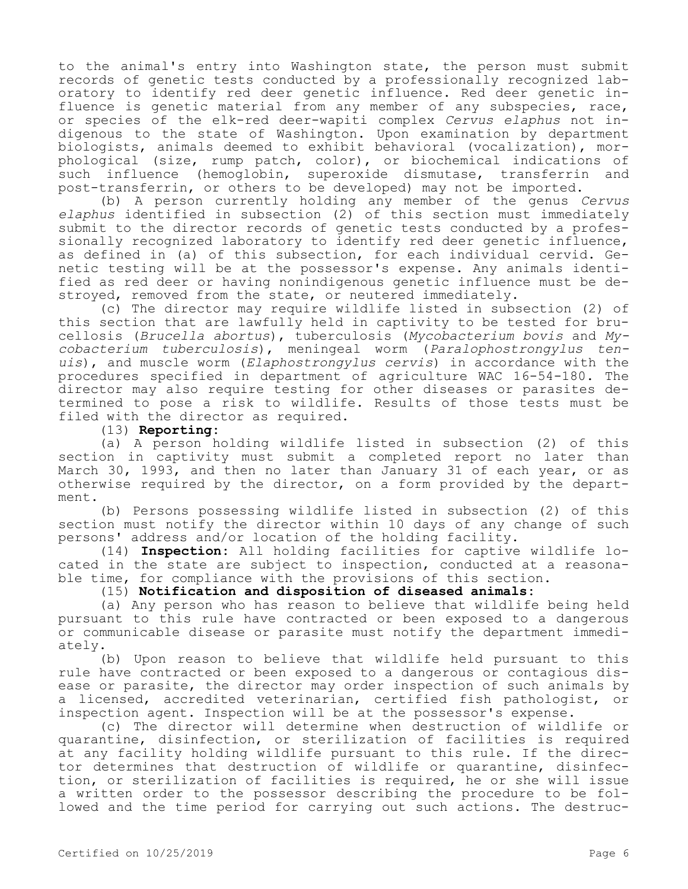to the animal's entry into Washington state, the person must submit records of genetic tests conducted by a professionally recognized laboratory to identify red deer genetic influence. Red deer genetic influence is genetic material from any member of any subspecies, race, or species of the elk-red deer-wapiti complex *Cervus elaphus* not indigenous to the state of Washington. Upon examination by department biologists, animals deemed to exhibit behavioral (vocalization), morphological (size, rump patch, color), or biochemical indications of<br>such influence (hemoglobin, superoxide dismutase, transferrin and (hemoglobin, superoxide dismutase, transferrin and post-transferrin, or others to be developed) may not be imported.

(b) A person currently holding any member of the genus *Cervus elaphus* identified in subsection (2) of this section must immediately submit to the director records of genetic tests conducted by a professionally recognized laboratory to identify red deer genetic influence, as defined in (a) of this subsection, for each individual cervid. Genetic testing will be at the possessor's expense. Any animals identified as red deer or having nonindigenous genetic influence must be destroyed, removed from the state, or neutered immediately.

(c) The director may require wildlife listed in subsection (2) of this section that are lawfully held in captivity to be tested for brucellosis (*Brucella abortus*), tuberculosis (*Mycobacterium bovis* and *Mycobacterium tuberculosis*), meningeal worm (*Paralophostrongylus tenuis*), and muscle worm (*Elaphostrongylus cervis*) in accordance with the procedures specified in department of agriculture WAC 16-54-180. The director may also require testing for other diseases or parasites determined to pose a risk to wildlife. Results of those tests must be filed with the director as required.

#### (13) **Reporting:**

(a) A person holding wildlife listed in subsection (2) of this section in captivity must submit a completed report no later than March 30, 1993, and then no later than January 31 of each year, or as otherwise required by the director, on a form provided by the department.

(b) Persons possessing wildlife listed in subsection (2) of this section must notify the director within 10 days of any change of such persons' address and/or location of the holding facility.

(14) **Inspection:** All holding facilities for captive wildlife located in the state are subject to inspection, conducted at a reasonable time, for compliance with the provisions of this section.

#### (15) **Notification and disposition of diseased animals:**

(a) Any person who has reason to believe that wildlife being held pursuant to this rule have contracted or been exposed to a dangerous or communicable disease or parasite must notify the department immediately.

(b) Upon reason to believe that wildlife held pursuant to this rule have contracted or been exposed to a dangerous or contagious disease or parasite, the director may order inspection of such animals by a licensed, accredited veterinarian, certified fish pathologist, or inspection agent. Inspection will be at the possessor's expense.

(c) The director will determine when destruction of wildlife or quarantine, disinfection, or sterilization of facilities is required at any facility holding wildlife pursuant to this rule. If the director determines that destruction of wildlife or quarantine, disinfection, or sterilization of facilities is required, he or she will issue a written order to the possessor describing the procedure to be followed and the time period for carrying out such actions. The destruc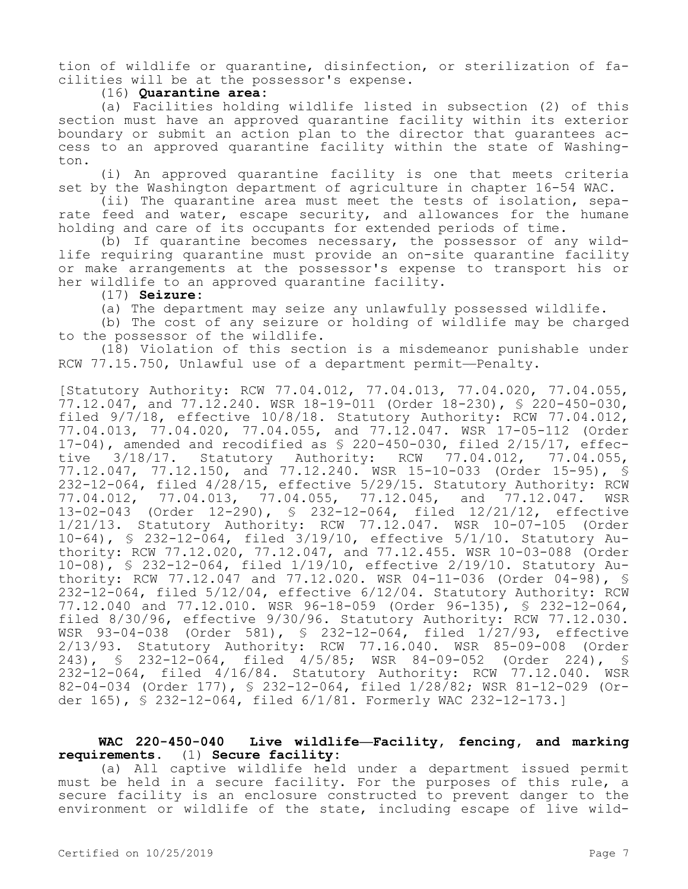tion of wildlife or quarantine, disinfection, or sterilization of facilities will be at the possessor's expense.

## (16) **Quarantine area:**

(a) Facilities holding wildlife listed in subsection (2) of this section must have an approved quarantine facility within its exterior boundary or submit an action plan to the director that guarantees access to an approved quarantine facility within the state of Washington.

(i) An approved quarantine facility is one that meets criteria set by the Washington department of agriculture in chapter 16-54 WAC.

(ii) The quarantine area must meet the tests of isolation, separate feed and water, escape security, and allowances for the humane holding and care of its occupants for extended periods of time.

(b) If quarantine becomes necessary, the possessor of any wildlife requiring quarantine must provide an on-site quarantine facility or make arrangements at the possessor's expense to transport his or her wildlife to an approved quarantine facility.

#### (17) **Seizure:**

(a) The department may seize any unlawfully possessed wildlife.

(b) The cost of any seizure or holding of wildlife may be charged to the possessor of the wildlife.

(18) Violation of this section is a misdemeanor punishable under RCW 77.15.750, Unlawful use of a department permit—Penalty.

[Statutory Authority: RCW 77.04.012, 77.04.013, 77.04.020, 77.04.055, 77.12.047, and 77.12.240. WSR 18-19-011 (Order 18-230), § 220-450-030, filed 9/7/18, effective 10/8/18. Statutory Authority: RCW 77.04.012, 77.04.013, 77.04.020, 77.04.055, and 77.12.047. WSR 17-05-112 (Order 17-04), amended and recodified as § 220-450-030, filed 2/15/17, effective 3/18/17. Statutory Authority: RCW 77.04.012, 77.04.055, 77.12.047, 77.12.150, and 77.12.240. WSR 15-10-033 (Order 15-95), § 232-12-064, filed 4/28/15, effective 5/29/15. Statutory Authority: RCW 77.04.012, 77.04.013, 77.04.055, 77.12.045, and 77.12.047. WSR 13-02-043 (Order 12-290), § 232-12-064, filed 12/21/12, effective 1/21/13. Statutory Authority: RCW 77.12.047. WSR 10-07-105 (Order 10-64), § 232-12-064, filed 3/19/10, effective 5/1/10. Statutory Authority: RCW 77.12.020, 77.12.047, and 77.12.455. WSR 10-03-088 (Order 10-08), § 232-12-064, filed 1/19/10, effective 2/19/10. Statutory Authority: RCW 77.12.047 and 77.12.020. WSR 04-11-036 (Order 04-98), § 232-12-064, filed 5/12/04, effective 6/12/04. Statutory Authority: RCW 77.12.040 and 77.12.010. WSR 96-18-059 (Order 96-135), § 232-12-064, filed 8/30/96, effective 9/30/96. Statutory Authority: RCW 77.12.030. WSR 93-04-038 (Order 581), § 232-12-064, filed 1/27/93, effective 2/13/93. Statutory Authority: RCW 77.16.040. WSR 85-09-008 (Order 243), § 232-12-064, filed 4/5/85; WSR 84-09-052 (Order 224), § 232-12-064, filed 4/16/84. Statutory Authority: RCW 77.12.040. WSR 82-04-034 (Order 177), § 232-12-064, filed 1/28/82; WSR 81-12-029 (Order 165), § 232-12-064, filed 6/1/81. Formerly WAC 232-12-173.]

# **WAC 220-450-040 Live wildlife—Facility, fencing, and marking requirements.** (1) **Secure facility:**

(a) All captive wildlife held under a department issued permit must be held in a secure facility. For the purposes of this rule, a secure facility is an enclosure constructed to prevent danger to the environment or wildlife of the state, including escape of live wild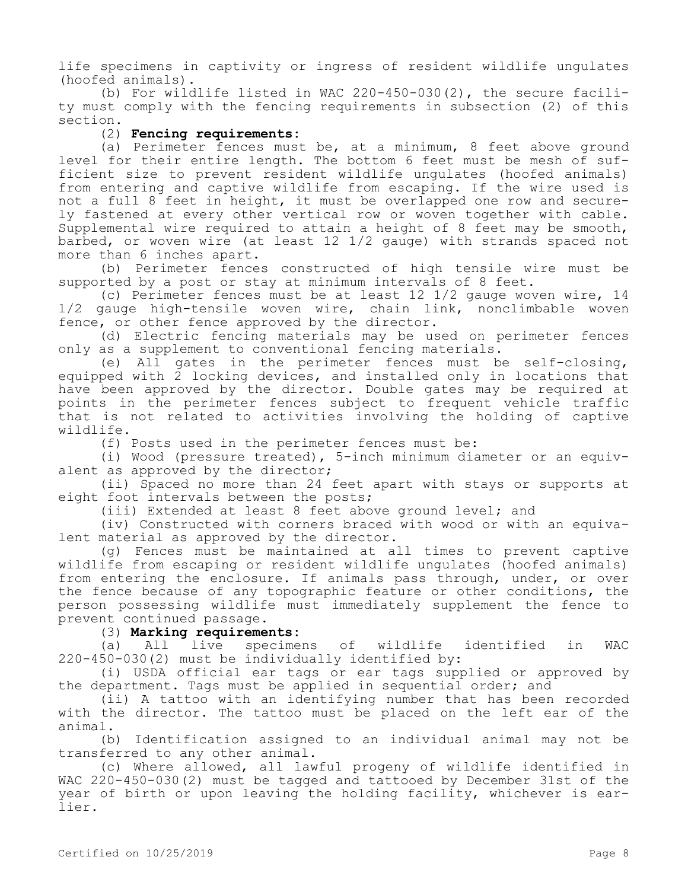life specimens in captivity or ingress of resident wildlife ungulates (hoofed animals).

(b) For wildlife listed in WAC 220-450-030(2), the secure facility must comply with the fencing requirements in subsection (2) of this section.

### (2) **Fencing requirements:**

(a) Perimeter fences must be, at a minimum, 8 feet above ground level for their entire length. The bottom 6 feet must be mesh of sufficient size to prevent resident wildlife ungulates (hoofed animals) from entering and captive wildlife from escaping. If the wire used is not a full 8 feet in height, it must be overlapped one row and securely fastened at every other vertical row or woven together with cable. Supplemental wire required to attain a height of 8 feet may be smooth, barbed, or woven wire (at least 12 1/2 gauge) with strands spaced not more than 6 inches apart.

(b) Perimeter fences constructed of high tensile wire must be supported by a post or stay at minimum intervals of 8 feet.

(c) Perimeter fences must be at least 12 1/2 gauge woven wire, 14 1/2 gauge high-tensile woven wire, chain link, nonclimbable woven fence, or other fence approved by the director.

(d) Electric fencing materials may be used on perimeter fences only as a supplement to conventional fencing materials.

(e) All gates in the perimeter fences must be self-closing, equipped with 2 locking devices, and installed only in locations that have been approved by the director. Double gates may be required at points in the perimeter fences subject to frequent vehicle traffic that is not related to activities involving the holding of captive wildlife.

(f) Posts used in the perimeter fences must be:

(i) Wood (pressure treated), 5-inch minimum diameter or an equivalent as approved by the director;

(ii) Spaced no more than 24 feet apart with stays or supports at eight foot intervals between the posts;

(iii) Extended at least 8 feet above ground level; and

(iv) Constructed with corners braced with wood or with an equivalent material as approved by the director.

(g) Fences must be maintained at all times to prevent captive wildlife from escaping or resident wildlife ungulates (hoofed animals) from entering the enclosure. If animals pass through, under, or over the fence because of any topographic feature or other conditions, the person possessing wildlife must immediately supplement the fence to prevent continued passage.

#### (3) **Marking requirements:**

(a) All live specimens of wildlife identified in WAC 220-450-030(2) must be individually identified by:

(i) USDA official ear tags or ear tags supplied or approved by the department. Tags must be applied in sequential order; and

(ii) A tattoo with an identifying number that has been recorded with the director. The tattoo must be placed on the left ear of the animal.

(b) Identification assigned to an individual animal may not be transferred to any other animal.

(c) Where allowed, all lawful progeny of wildlife identified in WAC 220-450-030(2) must be tagged and tattooed by December 31st of the year of birth or upon leaving the holding facility, whichever is earlier.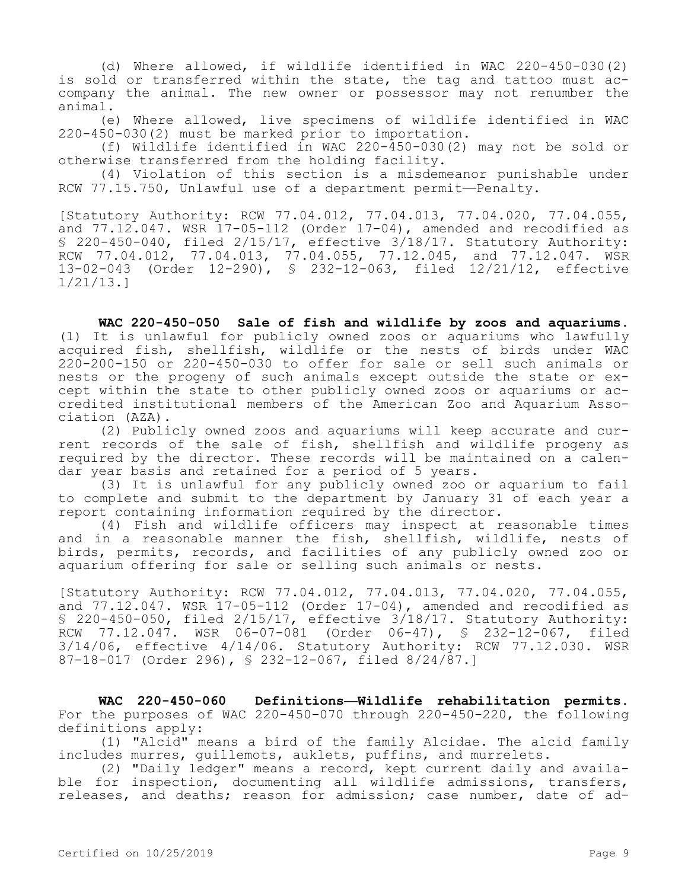(d) Where allowed, if wildlife identified in WAC 220-450-030(2) is sold or transferred within the state, the tag and tattoo must accompany the animal. The new owner or possessor may not renumber the animal.

(e) Where allowed, live specimens of wildlife identified in WAC 220-450-030(2) must be marked prior to importation.

(f) Wildlife identified in WAC 220-450-030(2) may not be sold or otherwise transferred from the holding facility.

(4) Violation of this section is a misdemeanor punishable under RCW 77.15.750, Unlawful use of a department permit—Penalty.

[Statutory Authority: RCW 77.04.012, 77.04.013, 77.04.020, 77.04.055, and 77.12.047. WSR 17-05-112 (Order 17-04), amended and recodified as § 220-450-040, filed 2/15/17, effective 3/18/17. Statutory Authority: RCW 77.04.012, 77.04.013, 77.04.055, 77.12.045, and 77.12.047. WSR 13-02-043 (Order 12-290), § 232-12-063, filed 12/21/12, effective 1/21/13.]

**WAC 220-450-050 Sale of fish and wildlife by zoos and aquariums.**  (1) It is unlawful for publicly owned zoos or aquariums who lawfully acquired fish, shellfish, wildlife or the nests of birds under WAC 220-200-150 or 220-450-030 to offer for sale or sell such animals or nests or the progeny of such animals except outside the state or except within the state to other publicly owned zoos or aquariums or accredited institutional members of the American Zoo and Aquarium Association (AZA).

(2) Publicly owned zoos and aquariums will keep accurate and current records of the sale of fish, shellfish and wildlife progeny as required by the director. These records will be maintained on a calendar year basis and retained for a period of 5 years.

(3) It is unlawful for any publicly owned zoo or aquarium to fail to complete and submit to the department by January 31 of each year a report containing information required by the director.

(4) Fish and wildlife officers may inspect at reasonable times and in a reasonable manner the fish, shellfish, wildlife, nests of birds, permits, records, and facilities of any publicly owned zoo or aquarium offering for sale or selling such animals or nests.

[Statutory Authority: RCW 77.04.012, 77.04.013, 77.04.020, 77.04.055, and  $77.12.047$ . WSR  $17-05-112$  (Order  $17-04$ ), amended and recodified as § 220-450-050, filed 2/15/17, effective 3/18/17. Statutory Authority: RCW 77.12.047. WSR 06-07-081 (Order 06-47), § 232-12-067, filed 3/14/06, effective 4/14/06. Statutory Authority: RCW 77.12.030. WSR 87-18-017 (Order 296), § 232-12-067, filed 8/24/87.]

**WAC 220-450-060 Definitions—Wildlife rehabilitation permits.**  For the purposes of WAC 220-450-070 through 220-450-220, the following definitions apply:

(1) "Alcid" means a bird of the family Alcidae. The alcid family includes murres, guillemots, auklets, puffins, and murrelets.

(2) "Daily ledger" means a record, kept current daily and available for inspection, documenting all wildlife admissions, transfers, releases, and deaths; reason for admission; case number, date of ad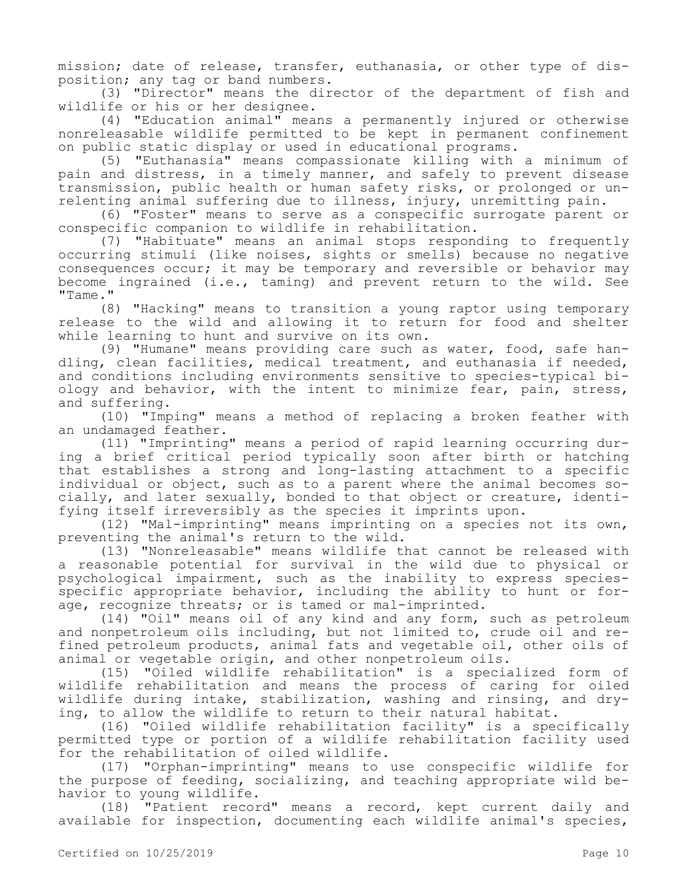mission; date of release, transfer, euthanasia, or other type of disposition; any tag or band numbers.

(3) "Director" means the director of the department of fish and wildlife or his or her designee.

(4) "Education animal" means a permanently injured or otherwise nonreleasable wildlife permitted to be kept in permanent confinement on public static display or used in educational programs.

(5) "Euthanasia" means compassionate killing with a minimum of pain and distress, in a timely manner, and safely to prevent disease transmission, public health or human safety risks, or prolonged or unrelenting animal suffering due to illness, injury, unremitting pain.

(6) "Foster" means to serve as a conspecific surrogate parent or conspecific companion to wildlife in rehabilitation.

(7) "Habituate" means an animal stops responding to frequently occurring stimuli (like noises, sights or smells) because no negative consequences occur; it may be temporary and reversible or behavior may become ingrained (i.e., taming) and prevent return to the wild. See "Tame."

(8) "Hacking" means to transition a young raptor using temporary release to the wild and allowing it to return for food and shelter while learning to hunt and survive on its own.

(9) "Humane" means providing care such as water, food, safe handling, clean facilities, medical treatment, and euthanasia if needed, and conditions including environments sensitive to species-typical biology and behavior, with the intent to minimize fear, pain, stress, and suffering.

(10) "Imping" means a method of replacing a broken feather with an undamaged feather.

(11) "Imprinting" means a period of rapid learning occurring during a brief critical period typically soon after birth or hatching that establishes a strong and long-lasting attachment to a specific individual or object, such as to a parent where the animal becomes socially, and later sexually, bonded to that object or creature, identifying itself irreversibly as the species it imprints upon.

(12) "Mal-imprinting" means imprinting on a species not its own, preventing the animal's return to the wild.

(13) "Nonreleasable" means wildlife that cannot be released with a reasonable potential for survival in the wild due to physical or psychological impairment, such as the inability to express speciesspecific appropriate behavior, including the ability to hunt or forage, recognize threats; or is tamed or mal-imprinted.

(14) "Oil" means oil of any kind and any form, such as petroleum and nonpetroleum oils including, but not limited to, crude oil and refined petroleum products, animal fats and vegetable oil, other oils of animal or vegetable origin, and other nonpetroleum oils.

(15) "Oiled wildlife rehabilitation" is a specialized form of wildlife rehabilitation and means the process of caring for oiled wildlife during intake, stabilization, washing and rinsing, and drying, to allow the wildlife to return to their natural habitat.

(16) "Oiled wildlife rehabilitation facility" is a specifically permitted type or portion of a wildlife rehabilitation facility used for the rehabilitation of oiled wildlife.

(17) "Orphan-imprinting" means to use conspecific wildlife for the purpose of feeding, socializing, and teaching appropriate wild behavior to young wildlife.

(18) "Patient record" means a record, kept current daily and available for inspection, documenting each wildlife animal's species,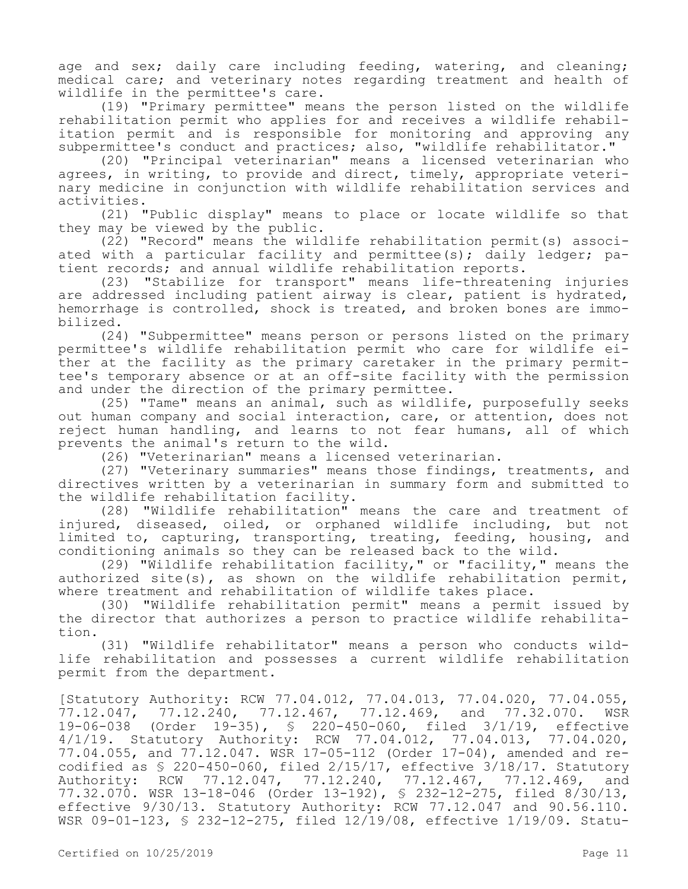age and sex; daily care including feeding, watering, and cleaning; medical care; and veterinary notes regarding treatment and health of wildlife in the permittee's care.

(19) "Primary permittee" means the person listed on the wildlife rehabilitation permit who applies for and receives a wildlife rehabilitation permit and is responsible for monitoring and approving any subpermittee's conduct and practices; also, "wildlife rehabilitator."

(20) "Principal veterinarian" means a licensed veterinarian who agrees, in writing, to provide and direct, timely, appropriate veterinary medicine in conjunction with wildlife rehabilitation services and activities.

(21) "Public display" means to place or locate wildlife so that they may be viewed by the public.

(22) "Record" means the wildlife rehabilitation permit(s) associated with a particular facility and permittee(s); daily ledger; patient records; and annual wildlife rehabilitation reports.

(23) "Stabilize for transport" means life-threatening injuries are addressed including patient airway is clear, patient is hydrated, hemorrhage is controlled, shock is treated, and broken bones are immobilized.

(24) "Subpermittee" means person or persons listed on the primary permittee's wildlife rehabilitation permit who care for wildlife either at the facility as the primary caretaker in the primary permittee's temporary absence or at an off-site facility with the permission and under the direction of the primary permittee.

(25) "Tame" means an animal, such as wildlife, purposefully seeks out human company and social interaction, care, or attention, does not reject human handling, and learns to not fear humans, all of which prevents the animal's return to the wild.

(26) "Veterinarian" means a licensed veterinarian.

(27) "Veterinary summaries" means those findings, treatments, and directives written by a veterinarian in summary form and submitted to the wildlife rehabilitation facility.

(28) "Wildlife rehabilitation" means the care and treatment of injured, diseased, oiled, or orphaned wildlife including, but not limited to, capturing, transporting, treating, feeding, housing, and conditioning animals so they can be released back to the wild.

(29) "Wildlife rehabilitation facility," or "facility," means the authorized site(s), as shown on the wildlife rehabilitation permit, where treatment and rehabilitation of wildlife takes place.

(30) "Wildlife rehabilitation permit" means a permit issued by the director that authorizes a person to practice wildlife rehabilitation.

(31) "Wildlife rehabilitator" means a person who conducts wildlife rehabilitation and possesses a current wildlife rehabilitation permit from the department.

[Statutory Authority: RCW 77.04.012, 77.04.013, 77.04.020, 77.04.055, 77.12.047, 77.12.240, 77.12.467, 77.12.469, and 77.32.070. WSR 19-06-038 (Order 19-35), § 220-450-060, filed 3/1/19, effective 4/1/19. Statutory Authority: RCW 77.04.012, 77.04.013, 77.04.020, 77.04.055, and 77.12.047. WSR 17-05-112 (Order 17-04), amended and recodified as § 220-450-060, filed 2/15/17, effective 3/18/17. Statutory Authority: RCW 77.12.047, 77.12.240, 77.12.467, 77.12.469, and 77.32.070. WSR 13-18-046 (Order 13-192), § 232-12-275, filed 8/30/13, effective 9/30/13. Statutory Authority: RCW 77.12.047 and 90.56.110. WSR 09-01-123, § 232-12-275, filed 12/19/08, effective 1/19/09. Statu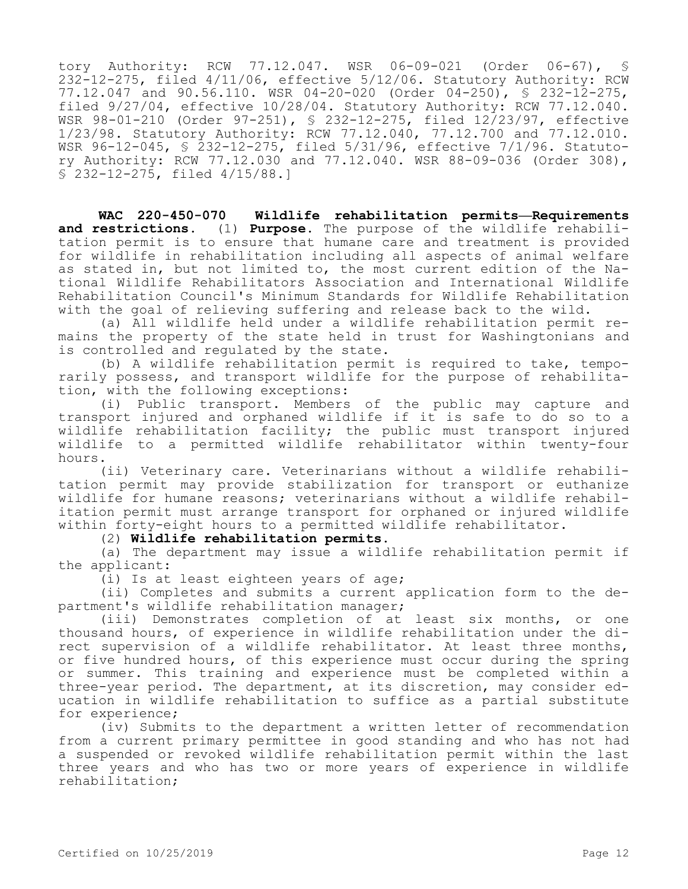tory Authority: RCW 77.12.047. WSR 06-09-021 (Order 06-67), 232-12-275, filed 4/11/06, effective 5/12/06. Statutory Authority: RCW 77.12.047 and 90.56.110. WSR 04-20-020 (Order 04-250), § 232-12-275, filed 9/27/04, effective 10/28/04. Statutory Authority: RCW 77.12.040. WSR 98-01-210 (Order 97-251), § 232-12-275, filed 12/23/97, effective 1/23/98. Statutory Authority: RCW 77.12.040, 77.12.700 and 77.12.010. WSR 96-12-045, § 232-12-275, filed 5/31/96, effective 7/1/96. Statutory Authority: RCW 77.12.030 and 77.12.040. WSR 88-09-036 (Order 308), § 232-12-275, filed 4/15/88.]

**WAC 220-450-070 Wildlife rehabilitation permits—Requirements and restrictions.** (1) **Purpose.** The purpose of the wildlife rehabilitation permit is to ensure that humane care and treatment is provided for wildlife in rehabilitation including all aspects of animal welfare as stated in, but not limited to, the most current edition of the National Wildlife Rehabilitators Association and International Wildlife Rehabilitation Council's Minimum Standards for Wildlife Rehabilitation with the goal of relieving suffering and release back to the wild.

(a) All wildlife held under a wildlife rehabilitation permit remains the property of the state held in trust for Washingtonians and is controlled and regulated by the state.

(b) A wildlife rehabilitation permit is required to take, temporarily possess, and transport wildlife for the purpose of rehabilitation, with the following exceptions:

(i) Public transport. Members of the public may capture and transport injured and orphaned wildlife if it is safe to do so to a wildlife rehabilitation facility; the public must transport injured wildlife to a permitted wildlife rehabilitator within twenty-four hours.

(ii) Veterinary care. Veterinarians without a wildlife rehabilitation permit may provide stabilization for transport or euthanize wildlife for humane reasons; veterinarians without a wildlife rehabilitation permit must arrange transport for orphaned or injured wildlife within forty-eight hours to a permitted wildlife rehabilitator.

(2) **Wildlife rehabilitation permits.**

(a) The department may issue a wildlife rehabilitation permit if the applicant:

(i) Is at least eighteen years of age;

(ii) Completes and submits a current application form to the department's wildlife rehabilitation manager;

(iii) Demonstrates completion of at least six months, or one thousand hours, of experience in wildlife rehabilitation under the direct supervision of a wildlife rehabilitator. At least three months, or five hundred hours, of this experience must occur during the spring or summer. This training and experience must be completed within a three-year period. The department, at its discretion, may consider education in wildlife rehabilitation to suffice as a partial substitute for experience;

(iv) Submits to the department a written letter of recommendation from a current primary permittee in good standing and who has not had a suspended or revoked wildlife rehabilitation permit within the last three years and who has two or more years of experience in wildlife rehabilitation;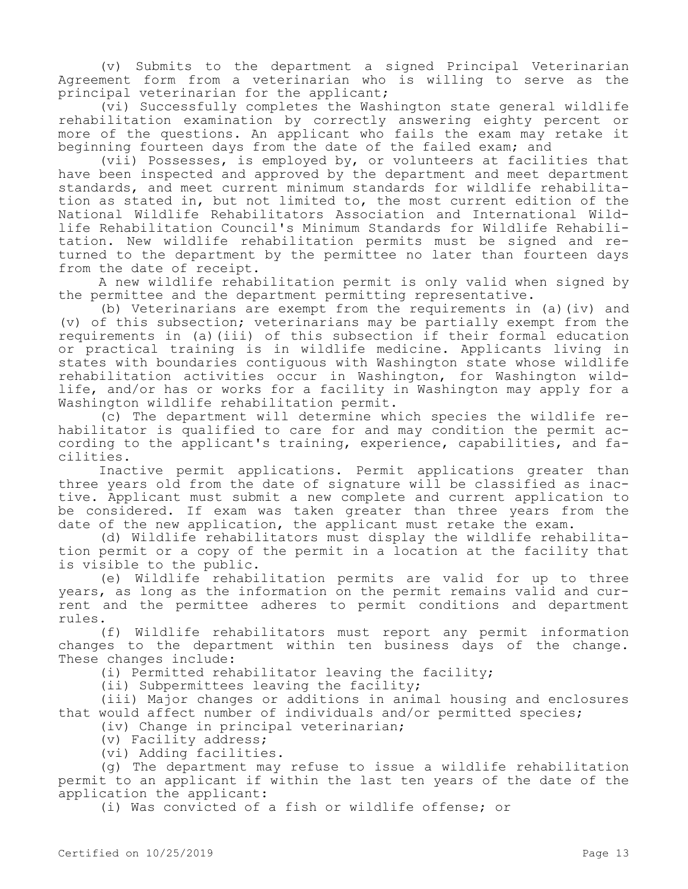(v) Submits to the department a signed Principal Veterinarian Agreement form from a veterinarian who is willing to serve as the principal veterinarian for the applicant;

(vi) Successfully completes the Washington state general wildlife rehabilitation examination by correctly answering eighty percent or more of the questions. An applicant who fails the exam may retake it beginning fourteen days from the date of the failed exam; and

(vii) Possesses, is employed by, or volunteers at facilities that have been inspected and approved by the department and meet department standards, and meet current minimum standards for wildlife rehabilitation as stated in, but not limited to, the most current edition of the National Wildlife Rehabilitators Association and International Wildlife Rehabilitation Council's Minimum Standards for Wildlife Rehabilitation. New wildlife rehabilitation permits must be signed and returned to the department by the permittee no later than fourteen days from the date of receipt.

A new wildlife rehabilitation permit is only valid when signed by the permittee and the department permitting representative.

(b) Veterinarians are exempt from the requirements in (a)(iv) and (v) of this subsection; veterinarians may be partially exempt from the requirements in (a)(iii) of this subsection if their formal education or practical training is in wildlife medicine. Applicants living in states with boundaries contiguous with Washington state whose wildlife rehabilitation activities occur in Washington, for Washington wildlife, and/or has or works for a facility in Washington may apply for a Washington wildlife rehabilitation permit.

(c) The department will determine which species the wildlife rehabilitator is qualified to care for and may condition the permit according to the applicant's training, experience, capabilities, and facilities.

Inactive permit applications. Permit applications greater than three years old from the date of signature will be classified as inactive. Applicant must submit a new complete and current application to be considered. If exam was taken greater than three years from the date of the new application, the applicant must retake the exam.

(d) Wildlife rehabilitators must display the wildlife rehabilitation permit or a copy of the permit in a location at the facility that is visible to the public.

(e) Wildlife rehabilitation permits are valid for up to three years, as long as the information on the permit remains valid and current and the permittee adheres to permit conditions and department rules.

(f) Wildlife rehabilitators must report any permit information changes to the department within ten business days of the change. These changes include:

(i) Permitted rehabilitator leaving the facility;

(ii) Subpermittees leaving the facility;

(iii) Major changes or additions in animal housing and enclosures that would affect number of individuals and/or permitted species;

(iv) Change in principal veterinarian;

(v) Facility address;

(vi) Adding facilities.

(g) The department may refuse to issue a wildlife rehabilitation permit to an applicant if within the last ten years of the date of the application the applicant:

(i) Was convicted of a fish or wildlife offense; or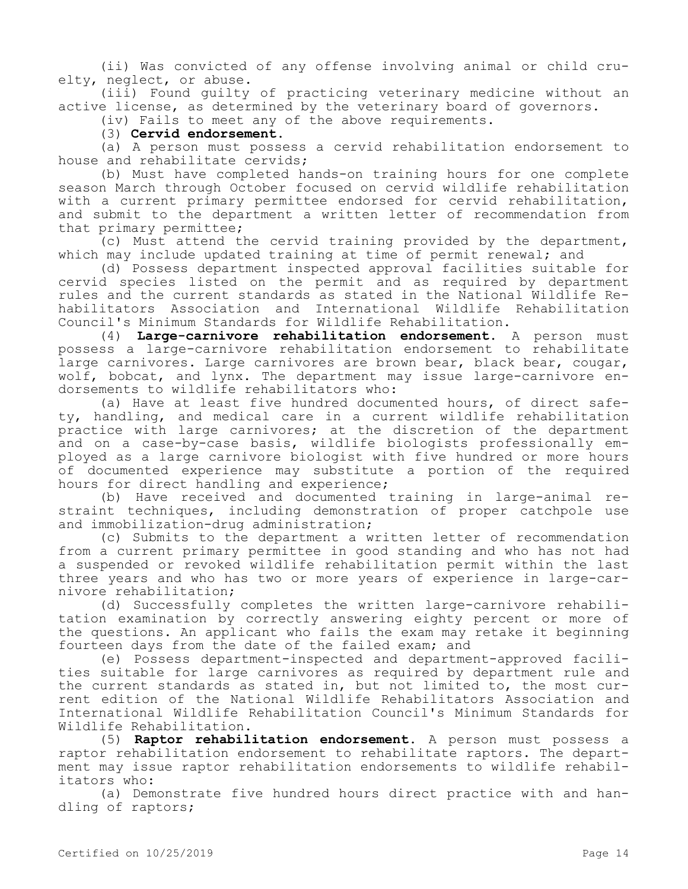(ii) Was convicted of any offense involving animal or child cruelty, neglect, or abuse.

(iii) Found guilty of practicing veterinary medicine without an active license, as determined by the veterinary board of governors.

(iv) Fails to meet any of the above requirements.

### (3) **Cervid endorsement.**

(a) A person must possess a cervid rehabilitation endorsement to house and rehabilitate cervids;

(b) Must have completed hands-on training hours for one complete season March through October focused on cervid wildlife rehabilitation with a current primary permittee endorsed for cervid rehabilitation, and submit to the department a written letter of recommendation from that primary permittee;

(c) Must attend the cervid training provided by the department, which may include updated training at time of permit renewal; and

(d) Possess department inspected approval facilities suitable for cervid species listed on the permit and as required by department rules and the current standards as stated in the National Wildlife Rehabilitators Association and International Wildlife Rehabilitation Council's Minimum Standards for Wildlife Rehabilitation.

(4) **Large-carnivore rehabilitation endorsement.** A person must possess a large-carnivore rehabilitation endorsement to rehabilitate large carnivores. Large carnivores are brown bear, black bear, cougar, wolf, bobcat, and lynx. The department may issue large-carnivore endorsements to wildlife rehabilitators who:

(a) Have at least five hundred documented hours, of direct safety, handling, and medical care in a current wildlife rehabilitation practice with large carnivores; at the discretion of the department and on a case-by-case basis, wildlife biologists professionally employed as a large carnivore biologist with five hundred or more hours of documented experience may substitute a portion of the required hours for direct handling and experience;

(b) Have received and documented training in large-animal restraint techniques, including demonstration of proper catchpole use and immobilization-drug administration;

(c) Submits to the department a written letter of recommendation from a current primary permittee in good standing and who has not had a suspended or revoked wildlife rehabilitation permit within the last three years and who has two or more years of experience in large-carnivore rehabilitation;

(d) Successfully completes the written large-carnivore rehabilitation examination by correctly answering eighty percent or more of the questions. An applicant who fails the exam may retake it beginning fourteen days from the date of the failed exam; and

(e) Possess department-inspected and department-approved facilities suitable for large carnivores as required by department rule and the current standards as stated in, but not limited to, the most current edition of the National Wildlife Rehabilitators Association and International Wildlife Rehabilitation Council's Minimum Standards for Wildlife Rehabilitation.

(5) **Raptor rehabilitation endorsement.** A person must possess a raptor rehabilitation endorsement to rehabilitate raptors. The department may issue raptor rehabilitation endorsements to wildlife rehabilitators who:

(a) Demonstrate five hundred hours direct practice with and handling of raptors;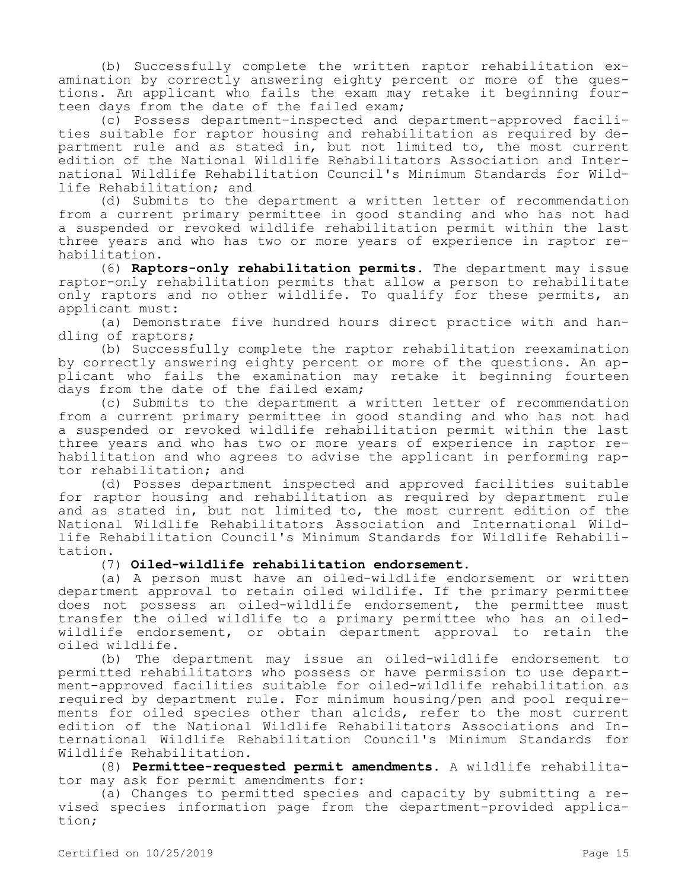(b) Successfully complete the written raptor rehabilitation examination by correctly answering eighty percent or more of the questions. An applicant who fails the exam may retake it beginning fourteen days from the date of the failed exam;

(c) Possess department-inspected and department-approved facilities suitable for raptor housing and rehabilitation as required by department rule and as stated in, but not limited to, the most current edition of the National Wildlife Rehabilitators Association and International Wildlife Rehabilitation Council's Minimum Standards for Wildlife Rehabilitation; and

(d) Submits to the department a written letter of recommendation from a current primary permittee in good standing and who has not had a suspended or revoked wildlife rehabilitation permit within the last three years and who has two or more years of experience in raptor rehabilitation.

(6) **Raptors-only rehabilitation permits.** The department may issue raptor-only rehabilitation permits that allow a person to rehabilitate only raptors and no other wildlife. To qualify for these permits, an applicant must:

(a) Demonstrate five hundred hours direct practice with and handling of raptors;

(b) Successfully complete the raptor rehabilitation reexamination by correctly answering eighty percent or more of the questions. An applicant who fails the examination may retake it beginning fourteen days from the date of the failed exam;

(c) Submits to the department a written letter of recommendation from a current primary permittee in good standing and who has not had a suspended or revoked wildlife rehabilitation permit within the last three years and who has two or more years of experience in raptor rehabilitation and who agrees to advise the applicant in performing raptor rehabilitation; and

(d) Posses department inspected and approved facilities suitable for raptor housing and rehabilitation as required by department rule and as stated in, but not limited to, the most current edition of the National Wildlife Rehabilitators Association and International Wildlife Rehabilitation Council's Minimum Standards for Wildlife Rehabilitation.

#### (7) **Oiled-wildlife rehabilitation endorsement.**

(a) A person must have an oiled-wildlife endorsement or written department approval to retain oiled wildlife. If the primary permittee does not possess an oiled-wildlife endorsement, the permittee must transfer the oiled wildlife to a primary permittee who has an oiledwildlife endorsement, or obtain department approval to retain the oiled wildlife.

(b) The department may issue an oiled-wildlife endorsement to permitted rehabilitators who possess or have permission to use department-approved facilities suitable for oiled-wildlife rehabilitation as required by department rule. For minimum housing/pen and pool requirements for oiled species other than alcids, refer to the most current edition of the National Wildlife Rehabilitators Associations and International Wildlife Rehabilitation Council's Minimum Standards for Wildlife Rehabilitation.

(8) **Permittee-requested permit amendments.** A wildlife rehabilitator may ask for permit amendments for:

(a) Changes to permitted species and capacity by submitting a revised species information page from the department-provided application;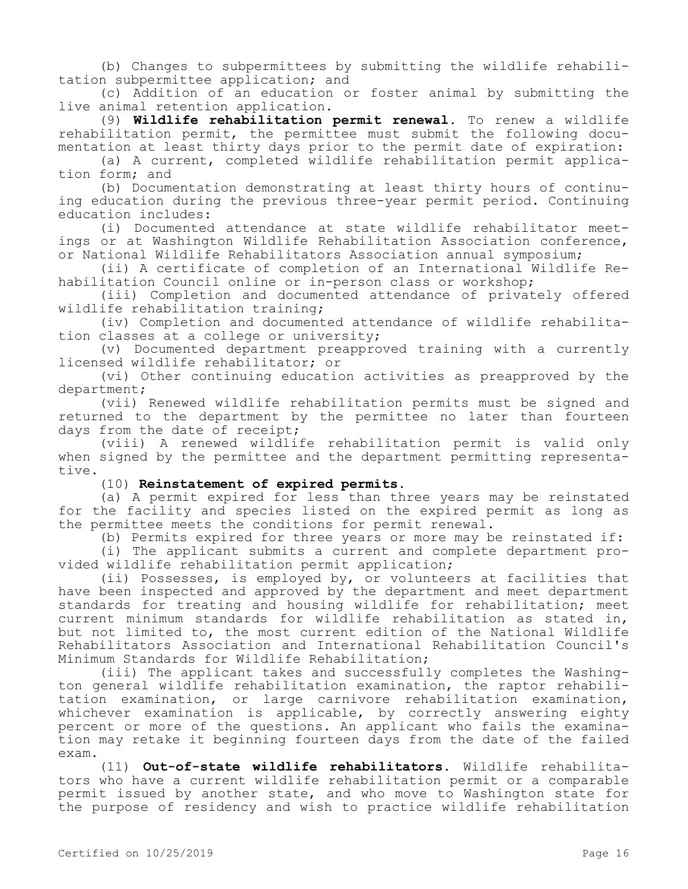(b) Changes to subpermittees by submitting the wildlife rehabilitation subpermittee application; and

(c) Addition of an education or foster animal by submitting the live animal retention application.

(9) **Wildlife rehabilitation permit renewal.** To renew a wildlife rehabilitation permit, the permittee must submit the following documentation at least thirty days prior to the permit date of expiration:

(a) A current, completed wildlife rehabilitation permit application form; and

(b) Documentation demonstrating at least thirty hours of continuing education during the previous three-year permit period. Continuing education includes:

(i) Documented attendance at state wildlife rehabilitator meetings or at Washington Wildlife Rehabilitation Association conference, or National Wildlife Rehabilitators Association annual symposium;

(ii) A certificate of completion of an International Wildlife Rehabilitation Council online or in-person class or workshop;

(iii) Completion and documented attendance of privately offered wildlife rehabilitation training;

(iv) Completion and documented attendance of wildlife rehabilitation classes at a college or university;

(v) Documented department preapproved training with a currently licensed wildlife rehabilitator; or

(vi) Other continuing education activities as preapproved by the department;

(vii) Renewed wildlife rehabilitation permits must be signed and returned to the department by the permittee no later than fourteen days from the date of receipt;

(viii) A renewed wildlife rehabilitation permit is valid only when signed by the permittee and the department permitting representative.

(10) **Reinstatement of expired permits.**

(a) A permit expired for less than three years may be reinstated for the facility and species listed on the expired permit as long as the permittee meets the conditions for permit renewal.

(b) Permits expired for three years or more may be reinstated if:

(i) The applicant submits a current and complete department provided wildlife rehabilitation permit application;

(ii) Possesses, is employed by, or volunteers at facilities that have been inspected and approved by the department and meet department standards for treating and housing wildlife for rehabilitation; meet current minimum standards for wildlife rehabilitation as stated in, but not limited to, the most current edition of the National Wildlife Rehabilitators Association and International Rehabilitation Council's Minimum Standards for Wildlife Rehabilitation;

(iii) The applicant takes and successfully completes the Washington general wildlife rehabilitation examination, the raptor rehabilitation examination, or large carnivore rehabilitation examination, whichever examination is applicable, by correctly answering eighty percent or more of the questions. An applicant who fails the examination may retake it beginning fourteen days from the date of the failed exam.

(11) **Out-of-state wildlife rehabilitators.** Wildlife rehabilitators who have a current wildlife rehabilitation permit or a comparable permit issued by another state, and who move to Washington state for the purpose of residency and wish to practice wildlife rehabilitation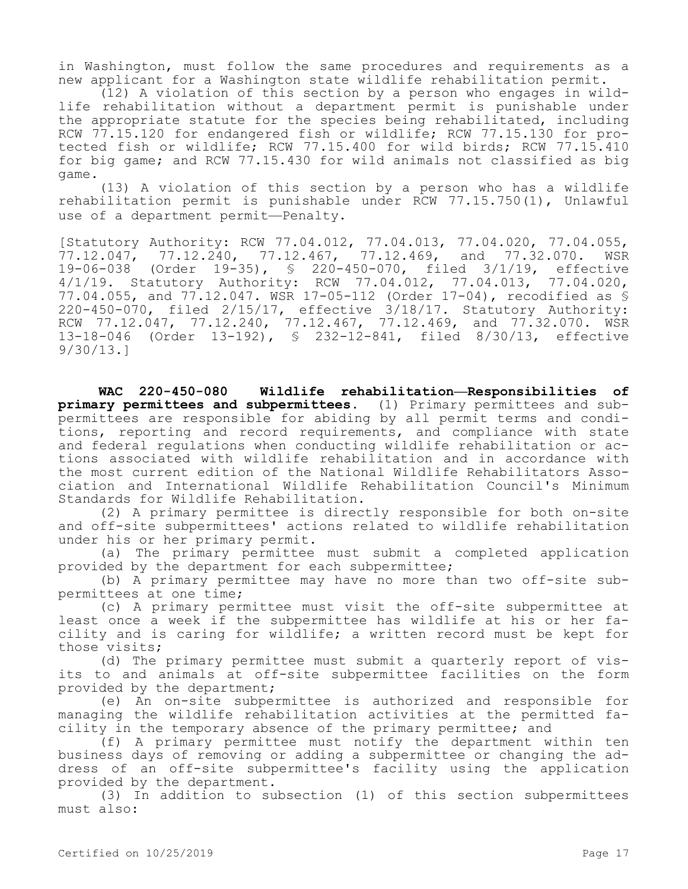in Washington, must follow the same procedures and requirements as a new applicant for a Washington state wildlife rehabilitation permit.

(12) A violation of this section by a person who engages in wildlife rehabilitation without a department permit is punishable under the appropriate statute for the species being rehabilitated, including RCW 77.15.120 for endangered fish or wildlife; RCW 77.15.130 for protected fish or wildlife; RCW 77.15.400 for wild birds; RCW 77.15.410 for big game; and RCW 77.15.430 for wild animals not classified as big game.

(13) A violation of this section by a person who has a wildlife rehabilitation permit is punishable under RCW 77.15.750(1), Unlawful use of a department permit—Penalty.

[Statutory Authority: RCW 77.04.012, 77.04.013, 77.04.020, 77.04.055, 77.12.047, 77.12.240, 77.12.467, 77.12.469, and 77.32.070. WSR 19-06-038 (Order 19-35), § 220-450-070, filed 3/1/19, effective 4/1/19. Statutory Authority: RCW 77.04.012, 77.04.013, 77.04.020, 77.04.055, and 77.12.047. WSR 17-05-112 (Order 17-04), recodified as § 220-450-070, filed 2/15/17, effective 3/18/17. Statutory Authority: RCW 77.12.047, 77.12.240, 77.12.467, 77.12.469, and 77.32.070. WSR 13-18-046 (Order 13-192), § 232-12-841, filed 8/30/13, effective 9/30/13.]

**WAC 220-450-080 Wildlife rehabilitation—Responsibilities of primary permittees and subpermittees.** (1) Primary permittees and subpermittees are responsible for abiding by all permit terms and conditions, reporting and record requirements, and compliance with state and federal regulations when conducting wildlife rehabilitation or actions associated with wildlife rehabilitation and in accordance with the most current edition of the National Wildlife Rehabilitators Association and International Wildlife Rehabilitation Council's Minimum Standards for Wildlife Rehabilitation.

(2) A primary permittee is directly responsible for both on-site and off-site subpermittees' actions related to wildlife rehabilitation under his or her primary permit.

(a) The primary permittee must submit a completed application provided by the department for each subpermittee;

(b) A primary permittee may have no more than two off-site subpermittees at one time;

(c) A primary permittee must visit the off-site subpermittee at least once a week if the subpermittee has wildlife at his or her facility and is caring for wildlife; a written record must be kept for those visits;

(d) The primary permittee must submit a quarterly report of visits to and animals at off-site subpermittee facilities on the form provided by the department;

(e) An on-site subpermittee is authorized and responsible for managing the wildlife rehabilitation activities at the permitted facility in the temporary absence of the primary permittee; and

(f) A primary permittee must notify the department within ten business days of removing or adding a subpermittee or changing the address of an off-site subpermittee's facility using the application provided by the department.

(3) In addition to subsection (1) of this section subpermittees must also: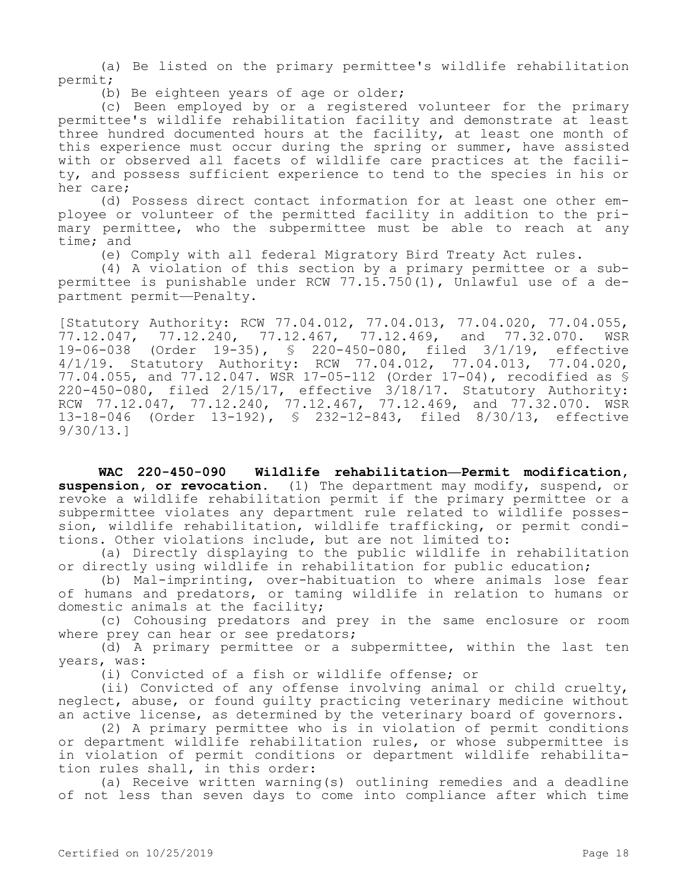(a) Be listed on the primary permittee's wildlife rehabilitation permit;

(b) Be eighteen years of age or older;

(c) Been employed by or a registered volunteer for the primary permittee's wildlife rehabilitation facility and demonstrate at least three hundred documented hours at the facility, at least one month of this experience must occur during the spring or summer, have assisted with or observed all facets of wildlife care practices at the facility, and possess sufficient experience to tend to the species in his or her care;

(d) Possess direct contact information for at least one other employee or volunteer of the permitted facility in addition to the primary permittee, who the subpermittee must be able to reach at any time; and

(e) Comply with all federal Migratory Bird Treaty Act rules.

(4) A violation of this section by a primary permittee or a subpermittee is punishable under RCW 77.15.750(1), Unlawful use of a department permit—Penalty.

[Statutory Authority: RCW 77.04.012, 77.04.013, 77.04.020, 77.04.055, 77.12.047, 77.12.240, 77.12.467, 77.12.469, and 77.32.070. WSR 19-06-038 (Order 19-35), § 220-450-080, filed 3/1/19, effective 4/1/19. Statutory Authority: RCW 77.04.012, 77.04.013, 77.04.020, 77.04.055, and 77.12.047. WSR 17-05-112 (Order 17-04), recodified as § 220-450-080, filed 2/15/17, effective 3/18/17. Statutory Authority: RCW 77.12.047, 77.12.240, 77.12.467, 77.12.469, and 77.32.070. WSR 13-18-046 (Order 13-192), § 232-12-843, filed 8/30/13, effective 9/30/13.]

**WAC 220-450-090 Wildlife rehabilitation—Permit modification, suspension, or revocation.** (1) The department may modify, suspend, or revoke a wildlife rehabilitation permit if the primary permittee or a subpermittee violates any department rule related to wildlife possession, wildlife rehabilitation, wildlife trafficking, or permit conditions. Other violations include, but are not limited to:

(a) Directly displaying to the public wildlife in rehabilitation or directly using wildlife in rehabilitation for public education;

(b) Mal-imprinting, over-habituation to where animals lose fear of humans and predators, or taming wildlife in relation to humans or domestic animals at the facility;

(c) Cohousing predators and prey in the same enclosure or room where prey can hear or see predators;

(d) A primary permittee or a subpermittee, within the last ten years, was:

(i) Convicted of a fish or wildlife offense; or

(ii) Convicted of any offense involving animal or child cruelty, neglect, abuse, or found guilty practicing veterinary medicine without an active license, as determined by the veterinary board of governors.

(2) A primary permittee who is in violation of permit conditions or department wildlife rehabilitation rules, or whose subpermittee is in violation of permit conditions or department wildlife rehabilitation rules shall, in this order:

(a) Receive written warning(s) outlining remedies and a deadline of not less than seven days to come into compliance after which time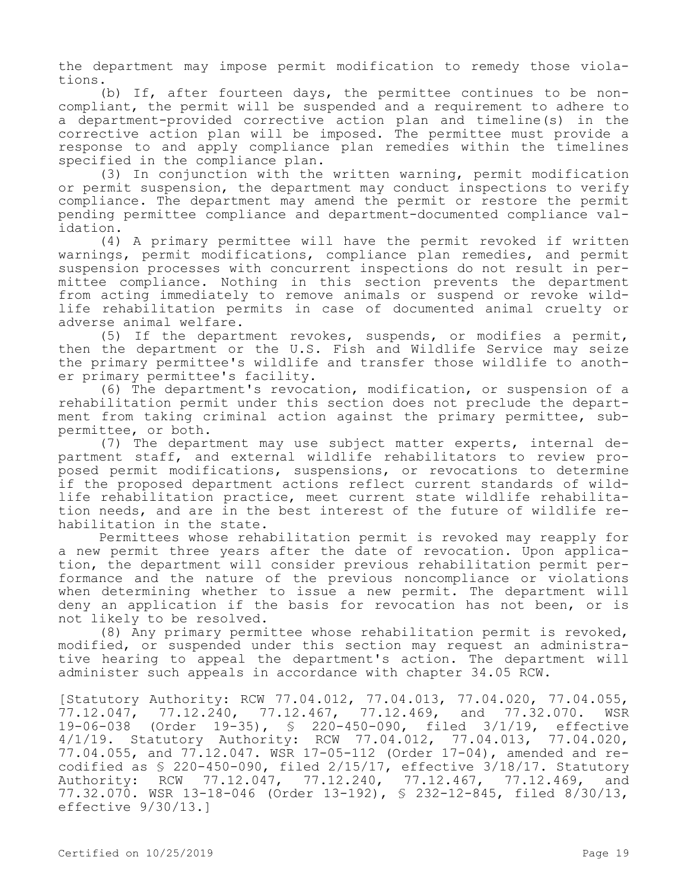the department may impose permit modification to remedy those violations.

(b) If, after fourteen days, the permittee continues to be noncompliant, the permit will be suspended and a requirement to adhere to a department-provided corrective action plan and timeline(s) in the corrective action plan will be imposed. The permittee must provide a response to and apply compliance plan remedies within the timelines specified in the compliance plan.

(3) In conjunction with the written warning, permit modification or permit suspension, the department may conduct inspections to verify compliance. The department may amend the permit or restore the permit pending permittee compliance and department-documented compliance validation.

(4) A primary permittee will have the permit revoked if written warnings, permit modifications, compliance plan remedies, and permit suspension processes with concurrent inspections do not result in permittee compliance. Nothing in this section prevents the department from acting immediately to remove animals or suspend or revoke wildlife rehabilitation permits in case of documented animal cruelty or adverse animal welfare.

(5) If the department revokes, suspends, or modifies a permit, then the department or the U.S. Fish and Wildlife Service may seize the primary permittee's wildlife and transfer those wildlife to another primary permittee's facility.

(6) The department's revocation, modification, or suspension of a rehabilitation permit under this section does not preclude the department from taking criminal action against the primary permittee, subpermittee, or both.

(7) The department may use subject matter experts, internal department staff, and external wildlife rehabilitators to review proposed permit modifications, suspensions, or revocations to determine if the proposed department actions reflect current standards of wildlife rehabilitation practice, meet current state wildlife rehabilitation needs, and are in the best interest of the future of wildlife rehabilitation in the state.

Permittees whose rehabilitation permit is revoked may reapply for a new permit three years after the date of revocation. Upon application, the department will consider previous rehabilitation permit performance and the nature of the previous noncompliance or violations when determining whether to issue a new permit. The department will deny an application if the basis for revocation has not been, or is not likely to be resolved.

(8) Any primary permittee whose rehabilitation permit is revoked, modified, or suspended under this section may request an administrative hearing to appeal the department's action. The department will administer such appeals in accordance with chapter 34.05 RCW.

[Statutory Authority: RCW 77.04.012, 77.04.013, 77.04.020, 77.04.055, 77.12.047, 77.12.240, 77.12.467, 77.12.469, and 77.32.070. WSR 19-06-038 (Order 19-35), § 220-450-090, filed 3/1/19, effective 4/1/19. Statutory Authority: RCW 77.04.012, 77.04.013, 77.04.020, 77.04.055, and 77.12.047. WSR 17-05-112 (Order 17-04), amended and recodified as § 220-450-090, filed 2/15/17, effective 3/18/17. Statutory Authority: RCW 77.12.047, 77.12.240, 77.12.467, 77.12.469, and 77.32.070. WSR 13-18-046 (Order 13-192), § 232-12-845, filed 8/30/13, effective 9/30/13.]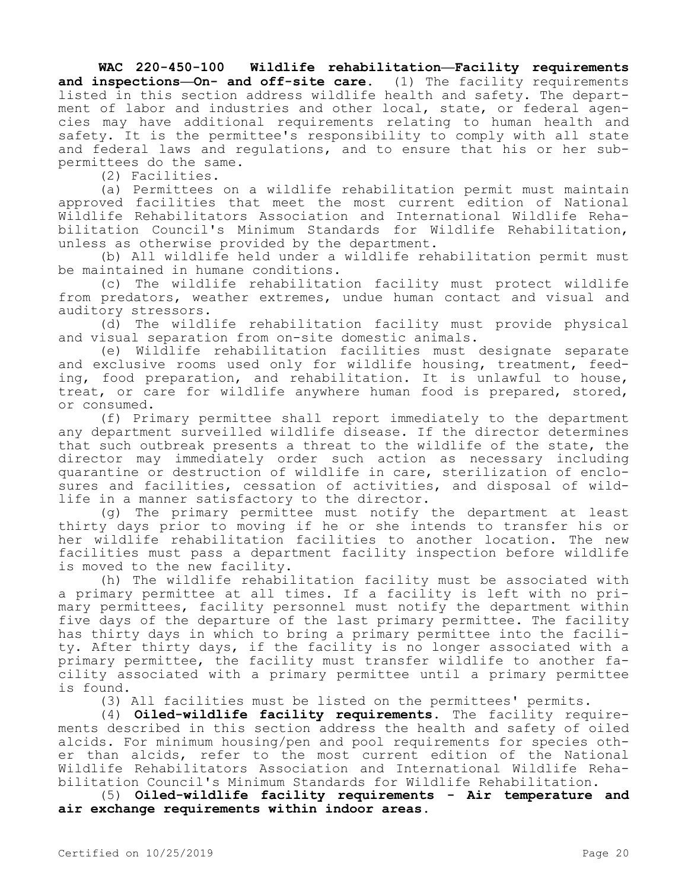**WAC 220-450-100 Wildlife rehabilitation—Facility requirements and inspections—On- and off-site care.** (1) The facility requirements listed in this section address wildlife health and safety. The department of labor and industries and other local, state, or federal agencies may have additional requirements relating to human health and safety. It is the permittee's responsibility to comply with all state and federal laws and regulations, and to ensure that his or her subpermittees do the same.

(2) Facilities.

(a) Permittees on a wildlife rehabilitation permit must maintain approved facilities that meet the most current edition of National Wildlife Rehabilitators Association and International Wildlife Rehabilitation Council's Minimum Standards for Wildlife Rehabilitation, unless as otherwise provided by the department.

(b) All wildlife held under a wildlife rehabilitation permit must be maintained in humane conditions.

(c) The wildlife rehabilitation facility must protect wildlife from predators, weather extremes, undue human contact and visual and auditory stressors.

(d) The wildlife rehabilitation facility must provide physical and visual separation from on-site domestic animals.

(e) Wildlife rehabilitation facilities must designate separate and exclusive rooms used only for wildlife housing, treatment, feeding, food preparation, and rehabilitation. It is unlawful to house, treat, or care for wildlife anywhere human food is prepared, stored, or consumed.

(f) Primary permittee shall report immediately to the department any department surveilled wildlife disease. If the director determines that such outbreak presents a threat to the wildlife of the state, the director may immediately order such action as necessary including quarantine or destruction of wildlife in care, sterilization of enclosures and facilities, cessation of activities, and disposal of wildlife in a manner satisfactory to the director.

(g) The primary permittee must notify the department at least thirty days prior to moving if he or she intends to transfer his or her wildlife rehabilitation facilities to another location. The new facilities must pass a department facility inspection before wildlife is moved to the new facility.

(h) The wildlife rehabilitation facility must be associated with a primary permittee at all times. If a facility is left with no primary permittees, facility personnel must notify the department within five days of the departure of the last primary permittee. The facility has thirty days in which to bring a primary permittee into the facility. After thirty days, if the facility is no longer associated with a primary permittee, the facility must transfer wildlife to another facility associated with a primary permittee until a primary permittee is found.

(3) All facilities must be listed on the permittees' permits.

(4) **Oiled-wildlife facility requirements.** The facility requirements described in this section address the health and safety of oiled alcids. For minimum housing/pen and pool requirements for species other than alcids, refer to the most current edition of the National Wildlife Rehabilitators Association and International Wildlife Rehabilitation Council's Minimum Standards for Wildlife Rehabilitation.

(5) **Oiled-wildlife facility requirements - Air temperature and air exchange requirements within indoor areas.**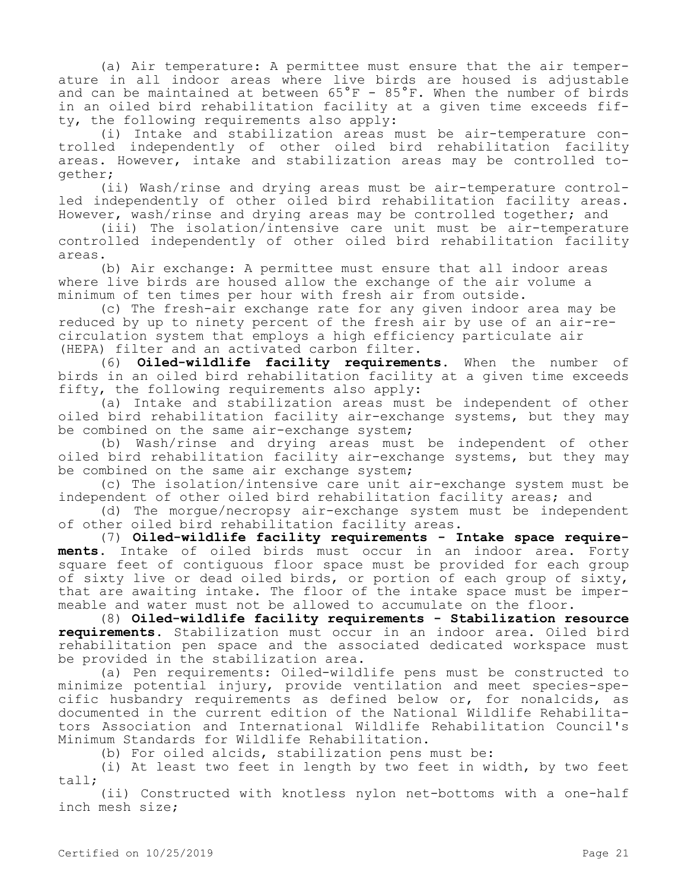(a) Air temperature: A permittee must ensure that the air temperature in all indoor areas where live birds are housed is adjustable and can be maintained at between 65°F - 85°F. When the number of birds in an oiled bird rehabilitation facility at a given time exceeds fifty, the following requirements also apply:

(i) Intake and stabilization areas must be air-temperature controlled independently of other oiled bird rehabilitation facility areas. However, intake and stabilization areas may be controlled together;

(ii) Wash/rinse and drying areas must be air-temperature controlled independently of other oiled bird rehabilitation facility areas. However, wash/rinse and drying areas may be controlled together; and

(iii) The isolation/intensive care unit must be air-temperature controlled independently of other oiled bird rehabilitation facility areas.

(b) Air exchange: A permittee must ensure that all indoor areas where live birds are housed allow the exchange of the air volume a minimum of ten times per hour with fresh air from outside.

(c) The fresh-air exchange rate for any given indoor area may be reduced by up to ninety percent of the fresh air by use of an air-recirculation system that employs a high efficiency particulate air (HEPA) filter and an activated carbon filter.

(6) **Oiled-wildlife facility requirements.** When the number of birds in an oiled bird rehabilitation facility at a given time exceeds fifty, the following requirements also apply:

(a) Intake and stabilization areas must be independent of other oiled bird rehabilitation facility air-exchange systems, but they may be combined on the same air-exchange system;

(b) Wash/rinse and drying areas must be independent of other oiled bird rehabilitation facility air-exchange systems, but they may be combined on the same air exchange system;

(c) The isolation/intensive care unit air-exchange system must be independent of other oiled bird rehabilitation facility areas; and

(d) The morgue/necropsy air-exchange system must be independent of other oiled bird rehabilitation facility areas.

(7) **Oiled-wildlife facility requirements - Intake space requirements.** Intake of oiled birds must occur in an indoor area. Forty square feet of contiguous floor space must be provided for each group of sixty live or dead oiled birds, or portion of each group of sixty, that are awaiting intake. The floor of the intake space must be impermeable and water must not be allowed to accumulate on the floor.

(8) **Oiled-wildlife facility requirements - Stabilization resource requirements.** Stabilization must occur in an indoor area. Oiled bird rehabilitation pen space and the associated dedicated workspace must be provided in the stabilization area.

(a) Pen requirements: Oiled-wildlife pens must be constructed to minimize potential injury, provide ventilation and meet species-specific husbandry requirements as defined below or, for nonalcids, as documented in the current edition of the National Wildlife Rehabilitators Association and International Wildlife Rehabilitation Council's Minimum Standards for Wildlife Rehabilitation.

(b) For oiled alcids, stabilization pens must be:

(i) At least two feet in length by two feet in width, by two feet tall;

(ii) Constructed with knotless nylon net-bottoms with a one-half inch mesh size;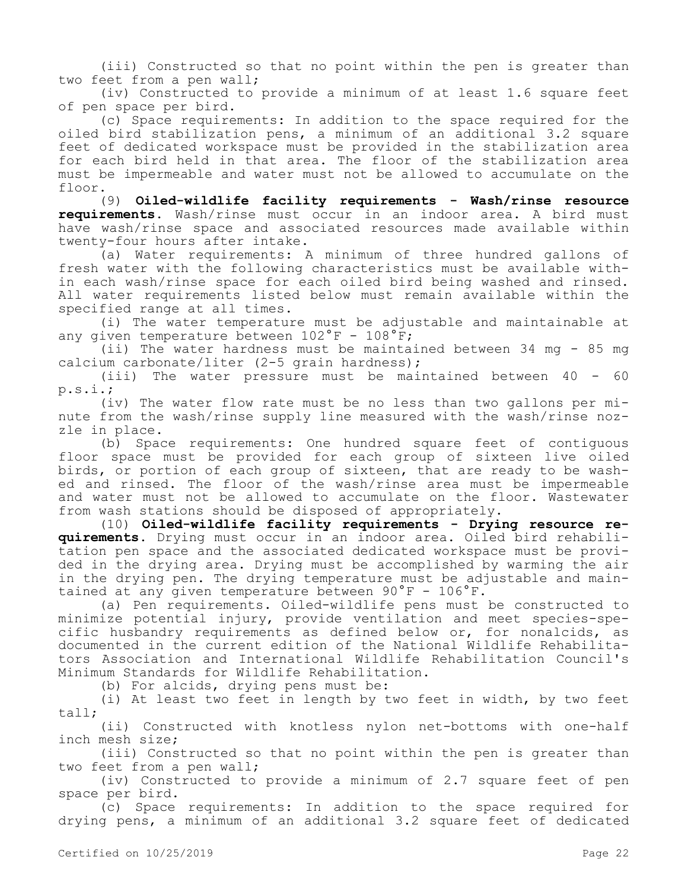(iii) Constructed so that no point within the pen is greater than two feet from a pen wall;

(iv) Constructed to provide a minimum of at least 1.6 square feet of pen space per bird.

(c) Space requirements: In addition to the space required for the oiled bird stabilization pens, a minimum of an additional 3.2 square feet of dedicated workspace must be provided in the stabilization area for each bird held in that area. The floor of the stabilization area must be impermeable and water must not be allowed to accumulate on the floor.

(9) **Oiled-wildlife facility requirements - Wash/rinse resource requirements.** Wash/rinse must occur in an indoor area. A bird must have wash/rinse space and associated resources made available within twenty-four hours after intake.

(a) Water requirements: A minimum of three hundred gallons of fresh water with the following characteristics must be available within each wash/rinse space for each oiled bird being washed and rinsed. All water requirements listed below must remain available within the specified range at all times.

(i) The water temperature must be adjustable and maintainable at any given temperature between  $102^{\circ}$ F -  $108^{\circ}$ F;

(ii) The water hardness must be maintained between 34 mg - 85 mg calcium carbonate/liter (2-5 grain hardness);

(iii) The water pressure must be maintained between 40 - 60 p.s.i.;

(iv) The water flow rate must be no less than two gallons per minute from the wash/rinse supply line measured with the wash/rinse nozzle in place.

(b) Space requirements: One hundred square feet of contiguous floor space must be provided for each group of sixteen live oiled birds, or portion of each group of sixteen, that are ready to be washed and rinsed. The floor of the wash/rinse area must be impermeable and water must not be allowed to accumulate on the floor. Wastewater from wash stations should be disposed of appropriately.

(10) **Oiled-wildlife facility requirements - Drying resource requirements.** Drying must occur in an indoor area. Oiled bird rehabilitation pen space and the associated dedicated workspace must be provided in the drying area. Drying must be accomplished by warming the air in the drying pen. The drying temperature must be adjustable and maintained at any given temperature between 90°F - 106°F.

(a) Pen requirements. Oiled-wildlife pens must be constructed to minimize potential injury, provide ventilation and meet species-specific husbandry requirements as defined below or, for nonalcids, as documented in the current edition of the National Wildlife Rehabilitators Association and International Wildlife Rehabilitation Council's Minimum Standards for Wildlife Rehabilitation.

(b) For alcids, drying pens must be:

(i) At least two feet in length by two feet in width, by two feet tall;

(ii) Constructed with knotless nylon net-bottoms with one-half inch mesh size;

(iii) Constructed so that no point within the pen is greater than two feet from a pen wall;

(iv) Constructed to provide a minimum of 2.7 square feet of pen space per bird.

(c) Space requirements: In addition to the space required for drying pens, a minimum of an additional 3.2 square feet of dedicated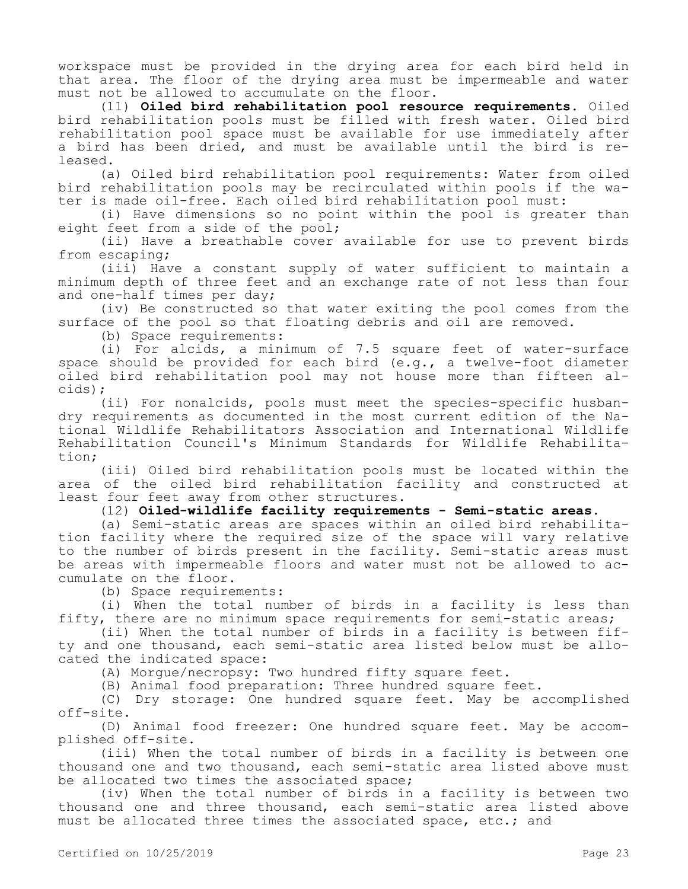workspace must be provided in the drying area for each bird held in that area. The floor of the drying area must be impermeable and water must not be allowed to accumulate on the floor.

(11) **Oiled bird rehabilitation pool resource requirements.** Oiled bird rehabilitation pools must be filled with fresh water. Oiled bird rehabilitation pool space must be available for use immediately after a bird has been dried, and must be available until the bird is released.

(a) Oiled bird rehabilitation pool requirements: Water from oiled bird rehabilitation pools may be recirculated within pools if the water is made oil-free. Each oiled bird rehabilitation pool must:

(i) Have dimensions so no point within the pool is greater than eight feet from a side of the pool;

(ii) Have a breathable cover available for use to prevent birds from escaping;

(iii) Have a constant supply of water sufficient to maintain a minimum depth of three feet and an exchange rate of not less than four and one-half times per day;

(iv) Be constructed so that water exiting the pool comes from the surface of the pool so that floating debris and oil are removed.

(b) Space requirements:

(i) For alcids, a minimum of 7.5 square feet of water-surface space should be provided for each bird (e.g., a twelve-foot diameter oiled bird rehabilitation pool may not house more than fifteen alcids);

(ii) For nonalcids, pools must meet the species-specific husbandry requirements as documented in the most current edition of the National Wildlife Rehabilitators Association and International Wildlife Rehabilitation Council's Minimum Standards for Wildlife Rehabilitation;

(iii) Oiled bird rehabilitation pools must be located within the area of the oiled bird rehabilitation facility and constructed at least four feet away from other structures.

(12) **Oiled-wildlife facility requirements - Semi-static areas.**

(a) Semi-static areas are spaces within an oiled bird rehabilitation facility where the required size of the space will vary relative to the number of birds present in the facility. Semi-static areas must be areas with impermeable floors and water must not be allowed to accumulate on the floor.

(b) Space requirements:

(i) When the total number of birds in a facility is less than fifty, there are no minimum space requirements for semi-static areas;

(ii) When the total number of birds in a facility is between fifty and one thousand, each semi-static area listed below must be allocated the indicated space:

(A) Morgue/necropsy: Two hundred fifty square feet.

(B) Animal food preparation: Three hundred square feet.

(C) Dry storage: One hundred square feet. May be accomplished off-site.

(D) Animal food freezer: One hundred square feet. May be accomplished off-site.

(iii) When the total number of birds in a facility is between one thousand one and two thousand, each semi-static area listed above must be allocated two times the associated space;

(iv) When the total number of birds in a facility is between two thousand one and three thousand, each semi-static area listed above must be allocated three times the associated space, etc.; and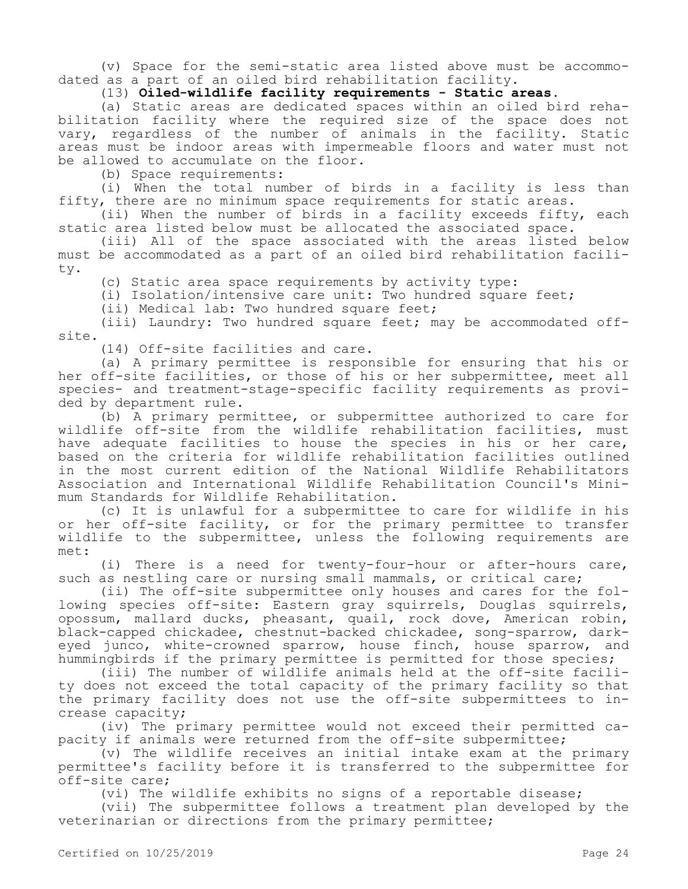(v) Space for the semi-static area listed above must be accommodated as a part of an oiled bird rehabilitation facility.

# (13) **Oiled-wildlife facility requirements - Static areas.**

(a) Static areas are dedicated spaces within an oiled bird rehabilitation facility where the required size of the space does not vary, regardless of the number of animals in the facility. Static areas must be indoor areas with impermeable floors and water must not be allowed to accumulate on the floor.

(b) Space requirements:

(i) When the total number of birds in a facility is less than fifty, there are no minimum space requirements for static areas.

(ii) When the number of birds in a facility exceeds fifty, each static area listed below must be allocated the associated space.

(iii) All of the space associated with the areas listed below must be accommodated as a part of an oiled bird rehabilitation facility.

(c) Static area space requirements by activity type:

(i) Isolation/intensive care unit: Two hundred square feet;

(ii) Medical lab: Two hundred square feet;

(iii) Laundry: Two hundred square feet; may be accommodated offsite.

(14) Off-site facilities and care.

(a) A primary permittee is responsible for ensuring that his or her off-site facilities, or those of his or her subpermittee, meet all species- and treatment-stage-specific facility requirements as provided by department rule.

(b) A primary permittee, or subpermittee authorized to care for wildlife off-site from the wildlife rehabilitation facilities, must have adequate facilities to house the species in his or her care, based on the criteria for wildlife rehabilitation facilities outlined in the most current edition of the National Wildlife Rehabilitators Association and International Wildlife Rehabilitation Council's Minimum Standards for Wildlife Rehabilitation.

(c) It is unlawful for a subpermittee to care for wildlife in his or her off-site facility, or for the primary permittee to transfer wildlife to the subpermittee, unless the following requirements are met:

(i) There is a need for twenty-four-hour or after-hours care, such as nestling care or nursing small mammals, or critical care;

(ii) The off-site subpermittee only houses and cares for the following species off-site: Eastern gray squirrels, Douglas squirrels, opossum, mallard ducks, pheasant, quail, rock dove, American robin, black-capped chickadee, chestnut-backed chickadee, song-sparrow, darkeyed junco, white-crowned sparrow, house finch, house sparrow, and hummingbirds if the primary permittee is permitted for those species;

(iii) The number of wildlife animals held at the off-site facility does not exceed the total capacity of the primary facility so that the primary facility does not use the off-site subpermittees to increase capacity;

(iv) The primary permittee would not exceed their permitted capacity if animals were returned from the off-site subpermittee;

(v) The wildlife receives an initial intake exam at the primary permittee's facility before it is transferred to the subpermittee for off-site care;

(vi) The wildlife exhibits no signs of a reportable disease;

(vii) The subpermittee follows a treatment plan developed by the veterinarian or directions from the primary permittee;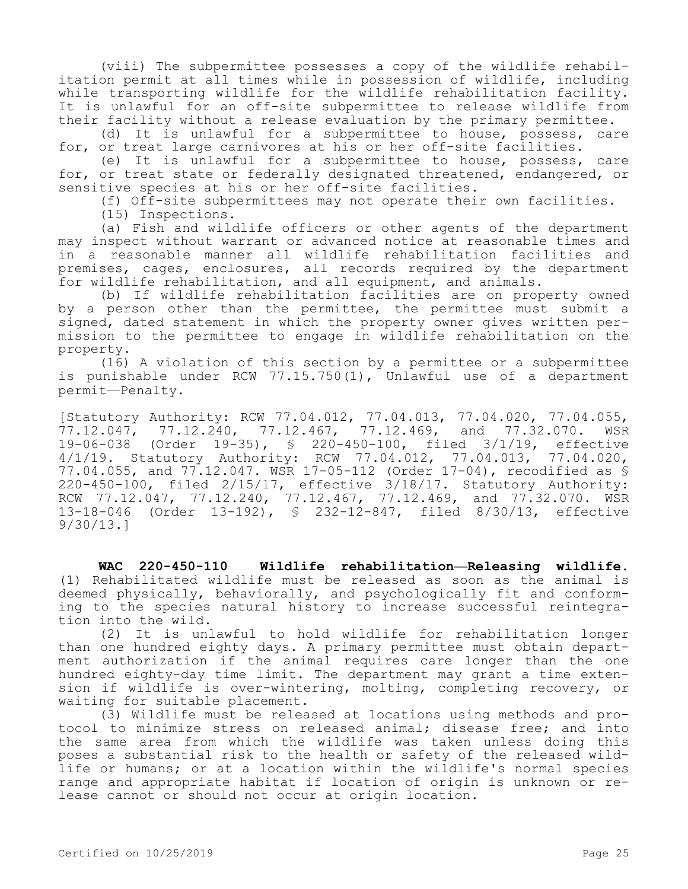(viii) The subpermittee possesses a copy of the wildlife rehabilitation permit at all times while in possession of wildlife, including while transporting wildlife for the wildlife rehabilitation facility. It is unlawful for an off-site subpermittee to release wildlife from their facility without a release evaluation by the primary permittee.

(d) It is unlawful for a subpermittee to house, possess, care for, or treat large carnivores at his or her off-site facilities.

(e) It is unlawful for a subpermittee to house, possess, care for, or treat state or federally designated threatened, endangered, or sensitive species at his or her off-site facilities.

(f) Off-site subpermittees may not operate their own facilities.

(15) Inspections.

(a) Fish and wildlife officers or other agents of the department may inspect without warrant or advanced notice at reasonable times and in a reasonable manner all wildlife rehabilitation facilities and premises, cages, enclosures, all records required by the department for wildlife rehabilitation, and all equipment, and animals.

(b) If wildlife rehabilitation facilities are on property owned by a person other than the permittee, the permittee must submit a signed, dated statement in which the property owner gives written permission to the permittee to engage in wildlife rehabilitation on the property.

(16) A violation of this section by a permittee or a subpermittee is punishable under RCW 77.15.750(1), Unlawful use of a department permit—Penalty.

[Statutory Authority: RCW 77.04.012, 77.04.013, 77.04.020, 77.04.055, 77.12.047, 77.12.240, 77.12.467, 77.12.469, and 77.32.070. WSR 19-06-038 (Order 19-35), § 220-450-100, filed 3/1/19, effective 4/1/19. Statutory Authority: RCW 77.04.012, 77.04.013, 77.04.020, 77.04.055, and 77.12.047. WSR 17-05-112 (Order 17-04), recodified as § 220-450-100, filed 2/15/17, effective 3/18/17. Statutory Authority: RCW 77.12.047, 77.12.240, 77.12.467, 77.12.469, and 77.32.070. WSR 13-18-046 (Order 13-192), § 232-12-847, filed 8/30/13, effective 9/30/13.]

**WAC 220-450-110 Wildlife rehabilitation—Releasing wildlife.**  (1) Rehabilitated wildlife must be released as soon as the animal is deemed physically, behaviorally, and psychologically fit and conforming to the species natural history to increase successful reintegration into the wild.

(2) It is unlawful to hold wildlife for rehabilitation longer than one hundred eighty days. A primary permittee must obtain department authorization if the animal requires care longer than the one hundred eighty-day time limit. The department may grant a time extension if wildlife is over-wintering, molting, completing recovery, or waiting for suitable placement.

(3) Wildlife must be released at locations using methods and protocol to minimize stress on released animal; disease free; and into the same area from which the wildlife was taken unless doing this poses a substantial risk to the health or safety of the released wildlife or humans; or at a location within the wildlife's normal species range and appropriate habitat if location of origin is unknown or release cannot or should not occur at origin location.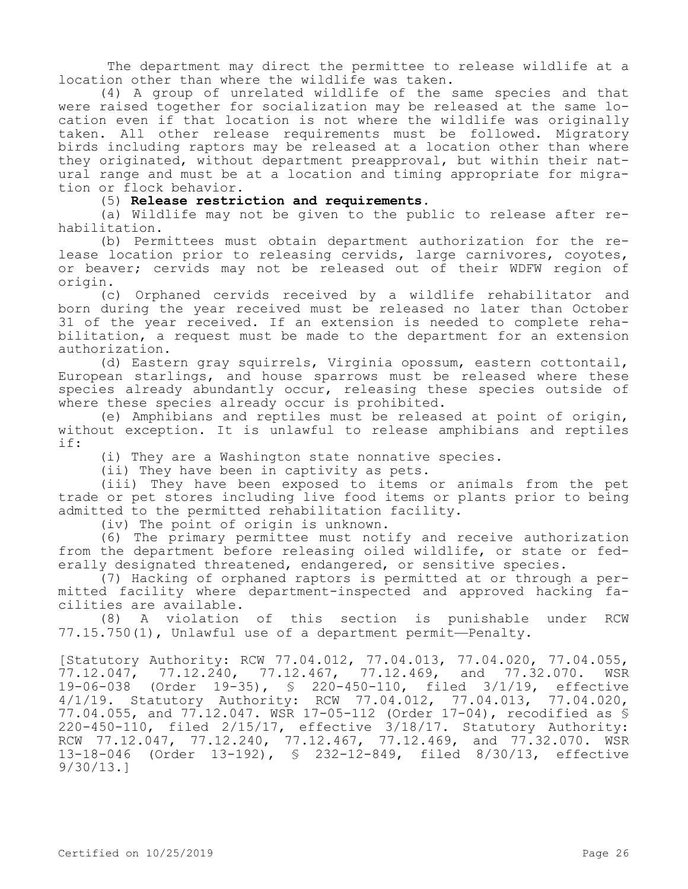The department may direct the permittee to release wildlife at a location other than where the wildlife was taken.

(4) A group of unrelated wildlife of the same species and that were raised together for socialization may be released at the same location even if that location is not where the wildlife was originally taken. All other release requirements must be followed. Migratory birds including raptors may be released at a location other than where they originated, without department preapproval, but within their natural range and must be at a location and timing appropriate for migration or flock behavior.

#### (5) **Release restriction and requirements.**

(a) Wildlife may not be given to the public to release after rehabilitation.

(b) Permittees must obtain department authorization for the release location prior to releasing cervids, large carnivores, coyotes, or beaver; cervids may not be released out of their WDFW region of origin.

(c) Orphaned cervids received by a wildlife rehabilitator and born during the year received must be released no later than October 31 of the year received. If an extension is needed to complete rehabilitation, a request must be made to the department for an extension authorization.

(d) Eastern gray squirrels, Virginia opossum, eastern cottontail, European starlings, and house sparrows must be released where these species already abundantly occur, releasing these species outside of where these species already occur is prohibited.

(e) Amphibians and reptiles must be released at point of origin, without exception. It is unlawful to release amphibians and reptiles if:

(i) They are a Washington state nonnative species.

(ii) They have been in captivity as pets.

(iii) They have been exposed to items or animals from the pet trade or pet stores including live food items or plants prior to being admitted to the permitted rehabilitation facility.

(iv) The point of origin is unknown.

(6) The primary permittee must notify and receive authorization from the department before releasing oiled wildlife, or state or federally designated threatened, endangered, or sensitive species.

(7) Hacking of orphaned raptors is permitted at or through a permitted facility where department-inspected and approved hacking facilities are available.

(8) A violation of this section is punishable under RCW 77.15.750(1), Unlawful use of a department permit—Penalty.

[Statutory Authority: RCW 77.04.012, 77.04.013, 77.04.020, 77.04.055, 77.12.047, 77.12.240, 77.12.467, 77.12.469, and 77.32.070. WSR 19-06-038 (Order 19-35), § 220-450-110, filed 3/1/19, effective 4/1/19. Statutory Authority: RCW 77.04.012, 77.04.013, 77.04.020, 77.04.055, and 77.12.047. WSR 17-05-112 (Order 17-04), recodified as § 220-450-110, filed 2/15/17, effective 3/18/17. Statutory Authority: RCW 77.12.047, 77.12.240, 77.12.467, 77.12.469, and 77.32.070. WSR 13-18-046 (Order 13-192), § 232-12-849, filed 8/30/13, effective 9/30/13.]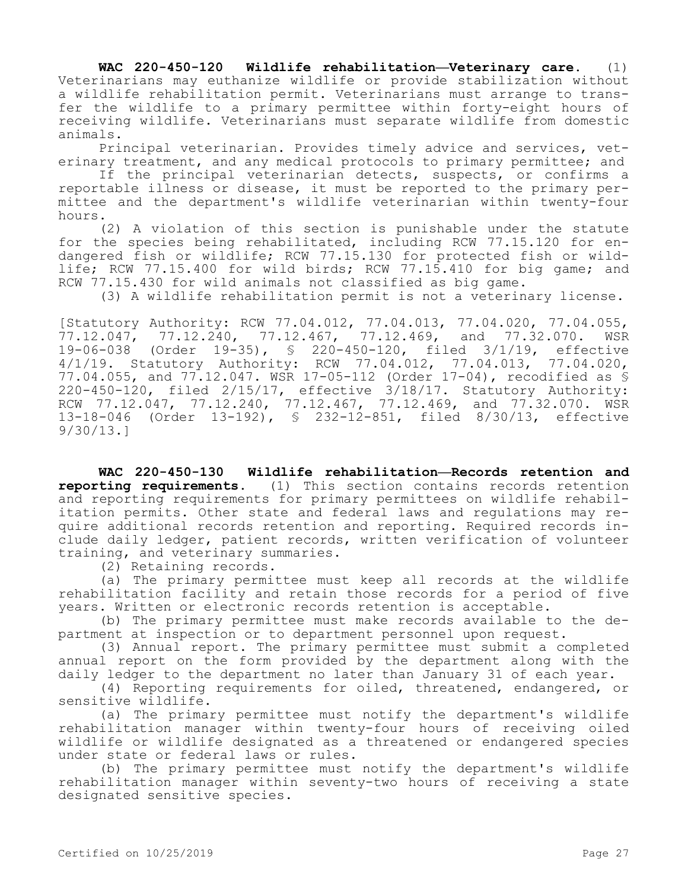**WAC 220-450-120 Wildlife rehabilitation—Veterinary care.** (1) Veterinarians may euthanize wildlife or provide stabilization without a wildlife rehabilitation permit. Veterinarians must arrange to transfer the wildlife to a primary permittee within forty-eight hours of receiving wildlife. Veterinarians must separate wildlife from domestic animals.

Principal veterinarian. Provides timely advice and services, veterinary treatment, and any medical protocols to primary permittee; and

If the principal veterinarian detects, suspects, or confirms a reportable illness or disease, it must be reported to the primary permittee and the department's wildlife veterinarian within twenty-four hours.

(2) A violation of this section is punishable under the statute for the species being rehabilitated, including RCW 77.15.120 for endangered fish or wildlife; RCW 77.15.130 for protected fish or wildlife; RCW 77.15.400 for wild birds; RCW 77.15.410 for big game; and RCW 77.15.430 for wild animals not classified as big game.

(3) A wildlife rehabilitation permit is not a veterinary license.

[Statutory Authority: RCW 77.04.012, 77.04.013, 77.04.020, 77.04.055, 77.12.047, 77.12.240, 77.12.467, 77.12.469, and 77.32.070. WSR 19-06-038 (Order 19-35), § 220-450-120, filed 3/1/19, effective 4/1/19. Statutory Authority: RCW 77.04.012, 77.04.013, 77.04.020, 77.04.055, and 77.12.047. WSR 17-05-112 (Order 17-04), recodified as § 220-450-120, filed 2/15/17, effective 3/18/17. Statutory Authority: RCW 77.12.047, 77.12.240, 77.12.467, 77.12.469, and 77.32.070. WSR 13-18-046 (Order 13-192), § 232-12-851, filed 8/30/13, effective 9/30/13.]

**WAC 220-450-130 Wildlife rehabilitation—Records retention and reporting requirements.** (1) This section contains records retention and reporting requirements for primary permittees on wildlife rehabilitation permits. Other state and federal laws and regulations may require additional records retention and reporting. Required records include daily ledger, patient records, written verification of volunteer training, and veterinary summaries.

(2) Retaining records.

(a) The primary permittee must keep all records at the wildlife rehabilitation facility and retain those records for a period of five years. Written or electronic records retention is acceptable.

(b) The primary permittee must make records available to the department at inspection or to department personnel upon request.

(3) Annual report. The primary permittee must submit a completed annual report on the form provided by the department along with the daily ledger to the department no later than January 31 of each year.

(4) Reporting requirements for oiled, threatened, endangered, or sensitive wildlife.

(a) The primary permittee must notify the department's wildlife rehabilitation manager within twenty-four hours of receiving oiled wildlife or wildlife designated as a threatened or endangered species under state or federal laws or rules.

(b) The primary permittee must notify the department's wildlife rehabilitation manager within seventy-two hours of receiving a state designated sensitive species.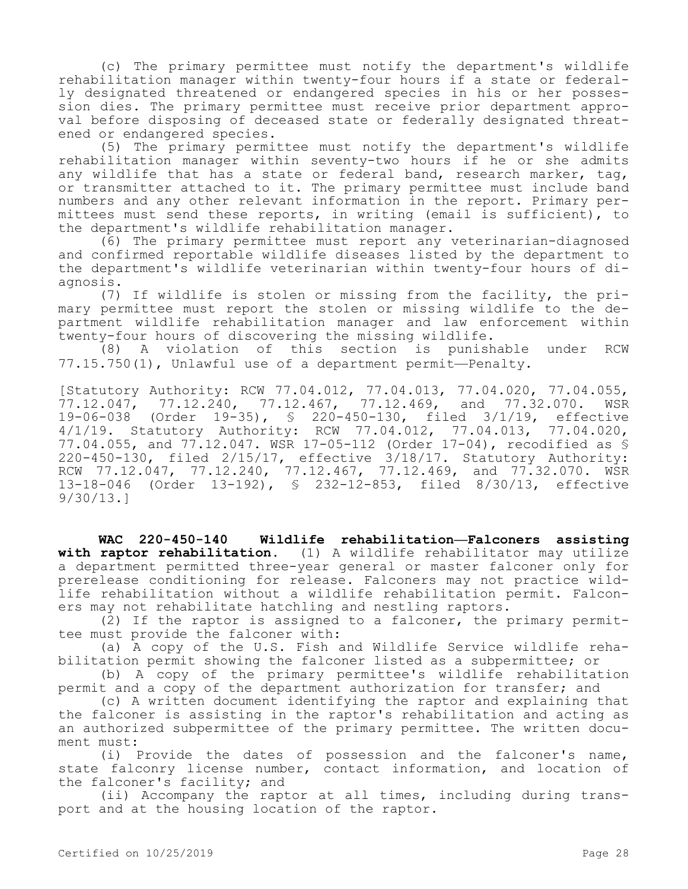(c) The primary permittee must notify the department's wildlife rehabilitation manager within twenty-four hours if a state or federally designated threatened or endangered species in his or her possession dies. The primary permittee must receive prior department approval before disposing of deceased state or federally designated threatened or endangered species.

(5) The primary permittee must notify the department's wildlife rehabilitation manager within seventy-two hours if he or she admits any wildlife that has a state or federal band, research marker, tag, or transmitter attached to it. The primary permittee must include band numbers and any other relevant information in the report. Primary permittees must send these reports, in writing (email is sufficient), to the department's wildlife rehabilitation manager.

(6) The primary permittee must report any veterinarian-diagnosed and confirmed reportable wildlife diseases listed by the department to the department's wildlife veterinarian within twenty-four hours of diagnosis.

(7) If wildlife is stolen or missing from the facility, the primary permittee must report the stolen or missing wildlife to the department wildlife rehabilitation manager and law enforcement within twenty-four hours of discovering the missing wildlife.

(8) A violation of this section is punishable under RCW 77.15.750(1), Unlawful use of a department permit—Penalty.

[Statutory Authority: RCW 77.04.012, 77.04.013, 77.04.020, 77.04.055, 77.12.047, 77.12.240, 77.12.467, 77.12.469, and 77.32.070. WSR 19-06-038 (Order 19-35), § 220-450-130, filed 3/1/19, effective 4/1/19. Statutory Authority: RCW 77.04.012, 77.04.013, 77.04.020, 77.04.055, and 77.12.047. WSR 17-05-112 (Order 17-04), recodified as § 220-450-130, filed 2/15/17, effective 3/18/17. Statutory Authority: RCW 77.12.047, 77.12.240, 77.12.467, 77.12.469, and 77.32.070. WSR 13-18-046 (Order 13-192), § 232-12-853, filed 8/30/13, effective 9/30/13.]

**WAC 220-450-140 Wildlife rehabilitation—Falconers assisting with raptor rehabilitation.** (1) A wildlife rehabilitator may utilize a department permitted three-year general or master falconer only for prerelease conditioning for release. Falconers may not practice wildlife rehabilitation without a wildlife rehabilitation permit. Falconers may not rehabilitate hatchling and nestling raptors.

(2) If the raptor is assigned to a falconer, the primary permittee must provide the falconer with:

(a) A copy of the U.S. Fish and Wildlife Service wildlife rehabilitation permit showing the falconer listed as a subpermittee; or

(b) A copy of the primary permittee's wildlife rehabilitation permit and a copy of the department authorization for transfer; and

(c) A written document identifying the raptor and explaining that the falconer is assisting in the raptor's rehabilitation and acting as an authorized subpermittee of the primary permittee. The written document must:

(i) Provide the dates of possession and the falconer's name, state falconry license number, contact information, and location of the falconer's facility; and

(ii) Accompany the raptor at all times, including during transport and at the housing location of the raptor.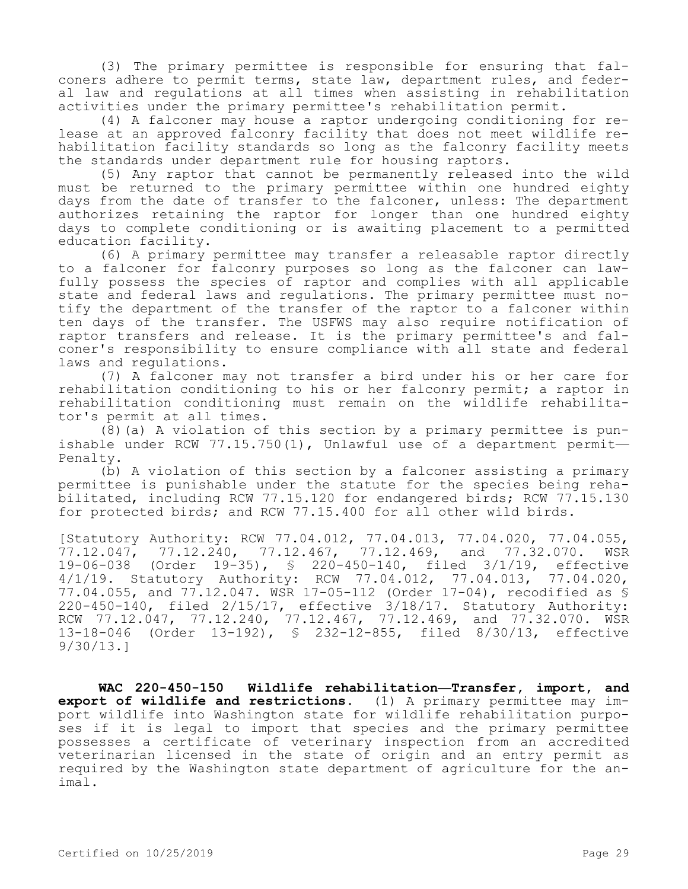(3) The primary permittee is responsible for ensuring that falconers adhere to permit terms, state law, department rules, and federal law and regulations at all times when assisting in rehabilitation activities under the primary permittee's rehabilitation permit.

(4) A falconer may house a raptor undergoing conditioning for release at an approved falconry facility that does not meet wildlife rehabilitation facility standards so long as the falconry facility meets the standards under department rule for housing raptors.

(5) Any raptor that cannot be permanently released into the wild must be returned to the primary permittee within one hundred eighty days from the date of transfer to the falconer, unless: The department authorizes retaining the raptor for longer than one hundred eighty days to complete conditioning or is awaiting placement to a permitted education facility.

(6) A primary permittee may transfer a releasable raptor directly to a falconer for falconry purposes so long as the falconer can lawfully possess the species of raptor and complies with all applicable state and federal laws and regulations. The primary permittee must notify the department of the transfer of the raptor to a falconer within ten days of the transfer. The USFWS may also require notification of raptor transfers and release. It is the primary permittee's and falconer's responsibility to ensure compliance with all state and federal laws and regulations.

(7) A falconer may not transfer a bird under his or her care for rehabilitation conditioning to his or her falconry permit; a raptor in rehabilitation conditioning must remain on the wildlife rehabilitator's permit at all times.

(8)(a) A violation of this section by a primary permittee is punishable under RCW 77.15.750(1), Unlawful use of a department permit— Penalty.

(b) A violation of this section by a falconer assisting a primary permittee is punishable under the statute for the species being rehabilitated, including RCW 77.15.120 for endangered birds; RCW 77.15.130 for protected birds; and RCW 77.15.400 for all other wild birds.

[Statutory Authority: RCW 77.04.012, 77.04.013, 77.04.020, 77.04.055, 77.12.047, 77.12.240, 77.12.467, 77.12.469, and 77.32.070. WSR 19-06-038 (Order 19-35), § 220-450-140, filed 3/1/19, effective 4/1/19. Statutory Authority: RCW 77.04.012, 77.04.013, 77.04.020, 77.04.055, and 77.12.047. WSR 17-05-112 (Order 17-04), recodified as § 220-450-140, filed 2/15/17, effective 3/18/17. Statutory Authority: RCW 77.12.047, 77.12.240, 77.12.467, 77.12.469, and 77.32.070. WSR 13-18-046 (Order 13-192), § 232-12-855, filed 8/30/13, effective 9/30/13.]

**WAC 220-450-150 Wildlife rehabilitation—Transfer, import, and export of wildlife and restrictions.** (1) A primary permittee may import wildlife into Washington state for wildlife rehabilitation purposes if it is legal to import that species and the primary permittee possesses a certificate of veterinary inspection from an accredited veterinarian licensed in the state of origin and an entry permit as required by the Washington state department of agriculture for the animal.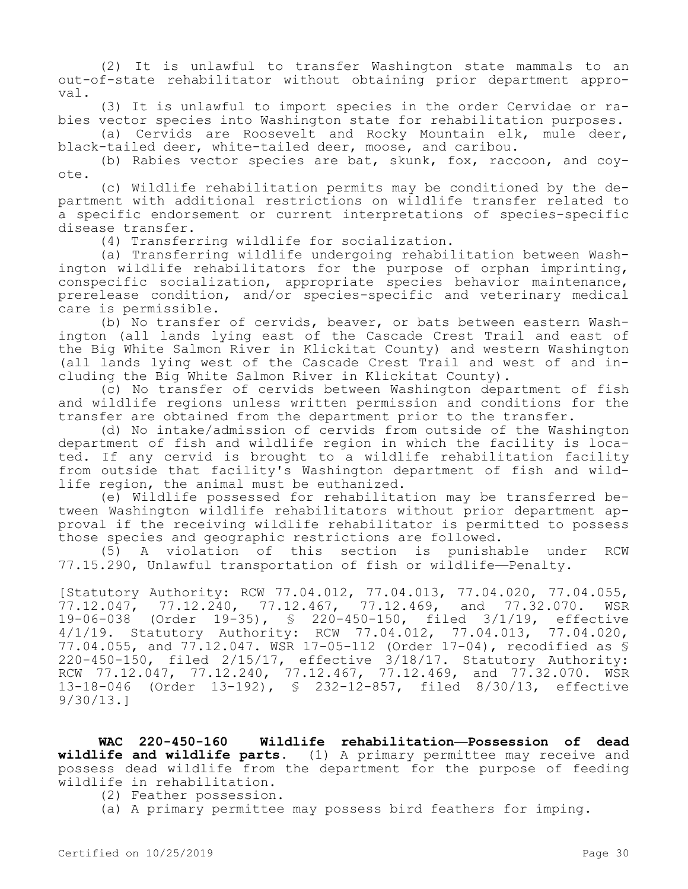(2) It is unlawful to transfer Washington state mammals to an out-of-state rehabilitator without obtaining prior department approval.

(3) It is unlawful to import species in the order Cervidae or rabies vector species into Washington state for rehabilitation purposes.

(a) Cervids are Roosevelt and Rocky Mountain elk, mule deer, black-tailed deer, white-tailed deer, moose, and caribou.

(b) Rabies vector species are bat, skunk, fox, raccoon, and coyote.

(c) Wildlife rehabilitation permits may be conditioned by the department with additional restrictions on wildlife transfer related to a specific endorsement or current interpretations of species-specific disease transfer.

(4) Transferring wildlife for socialization.

(a) Transferring wildlife undergoing rehabilitation between Washington wildlife rehabilitators for the purpose of orphan imprinting, conspecific socialization, appropriate species behavior maintenance, prerelease condition, and/or species-specific and veterinary medical care is permissible.

(b) No transfer of cervids, beaver, or bats between eastern Washington (all lands lying east of the Cascade Crest Trail and east of the Big White Salmon River in Klickitat County) and western Washington (all lands lying west of the Cascade Crest Trail and west of and including the Big White Salmon River in Klickitat County).

(c) No transfer of cervids between Washington department of fish and wildlife regions unless written permission and conditions for the transfer are obtained from the department prior to the transfer.

(d) No intake/admission of cervids from outside of the Washington department of fish and wildlife region in which the facility is located. If any cervid is brought to a wildlife rehabilitation facility from outside that facility's Washington department of fish and wildlife region, the animal must be euthanized.

(e) Wildlife possessed for rehabilitation may be transferred between Washington wildlife rehabilitators without prior department approval if the receiving wildlife rehabilitator is permitted to possess those species and geographic restrictions are followed.

(5) A violation of this section is punishable under RCW 77.15.290, Unlawful transportation of fish or wildlife—Penalty.

[Statutory Authority: RCW 77.04.012, 77.04.013, 77.04.020, 77.04.055, 77.12.047, 77.12.240, 77.12.467, 77.12.469, and 77.32.070. WSR 19-06-038 (Order 19-35), § 220-450-150, filed 3/1/19, effective 4/1/19. Statutory Authority: RCW 77.04.012, 77.04.013, 77.04.020, 77.04.055, and 77.12.047. WSR 17-05-112 (Order 17-04), recodified as § 220-450-150, filed 2/15/17, effective 3/18/17. Statutory Authority: RCW 77.12.047, 77.12.240, 77.12.467, 77.12.469, and 77.32.070. WSR 13-18-046 (Order 13-192), § 232-12-857, filed 8/30/13, effective 9/30/13.]

**WAC 220-450-160 Wildlife rehabilitation—Possession of dead wildlife and wildlife parts.** (1) A primary permittee may receive and possess dead wildlife from the department for the purpose of feeding wildlife in rehabilitation.

(2) Feather possession.

(a) A primary permittee may possess bird feathers for imping.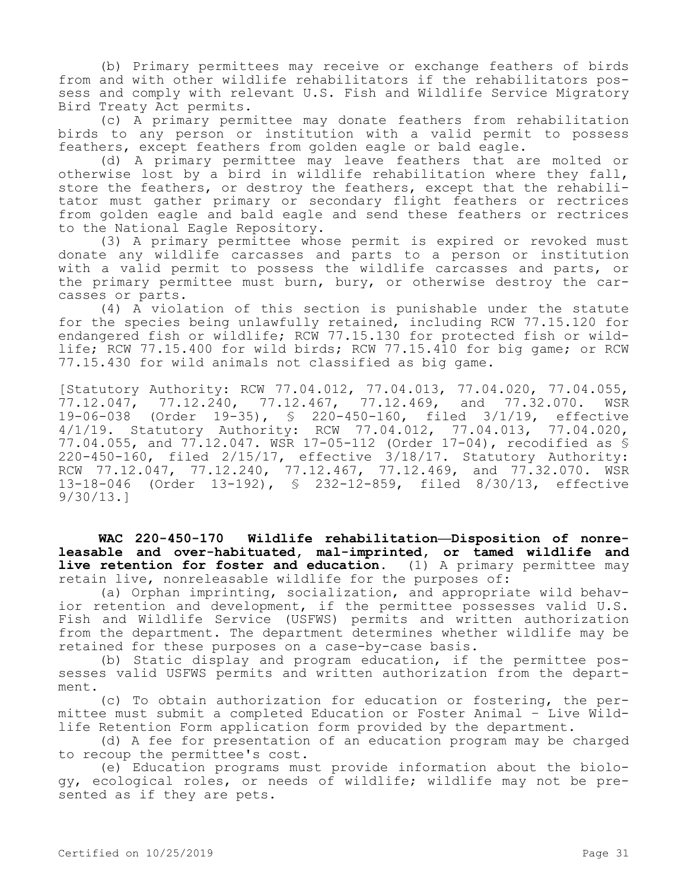(b) Primary permittees may receive or exchange feathers of birds from and with other wildlife rehabilitators if the rehabilitators possess and comply with relevant U.S. Fish and Wildlife Service Migratory Bird Treaty Act permits.

(c) A primary permittee may donate feathers from rehabilitation birds to any person or institution with a valid permit to possess feathers, except feathers from golden eagle or bald eagle.

(d) A primary permittee may leave feathers that are molted or otherwise lost by a bird in wildlife rehabilitation where they fall, store the feathers, or destroy the feathers, except that the rehabilitator must gather primary or secondary flight feathers or rectrices from golden eagle and bald eagle and send these feathers or rectrices to the National Eagle Repository.

(3) A primary permittee whose permit is expired or revoked must donate any wildlife carcasses and parts to a person or institution with a valid permit to possess the wildlife carcasses and parts, or the primary permittee must burn, bury, or otherwise destroy the carcasses or parts.

(4) A violation of this section is punishable under the statute for the species being unlawfully retained, including RCW 77.15.120 for endangered fish or wildlife; RCW 77.15.130 for protected fish or wildlife; RCW 77.15.400 for wild birds; RCW 77.15.410 for big game; or RCW 77.15.430 for wild animals not classified as big game.

[Statutory Authority: RCW 77.04.012, 77.04.013, 77.04.020, 77.04.055, 77.12.047, 77.12.240, 77.12.467, 77.12.469, and 77.32.070. WSR 19-06-038 (Order 19-35), § 220-450-160, filed 3/1/19, effective 4/1/19. Statutory Authority: RCW 77.04.012, 77.04.013, 77.04.020, 77.04.055, and 77.12.047. WSR 17-05-112 (Order 17-04), recodified as § 220-450-160, filed 2/15/17, effective 3/18/17. Statutory Authority: RCW 77.12.047, 77.12.240, 77.12.467, 77.12.469, and 77.32.070. WSR 13-18-046 (Order 13-192), § 232-12-859, filed 8/30/13, effective 9/30/13.]

**WAC 220-450-170 Wildlife rehabilitation—Disposition of nonreleasable and over-habituated, mal-imprinted, or tamed wildlife and live retention for foster and education.** (1) A primary permittee may retain live, nonreleasable wildlife for the purposes of:

(a) Orphan imprinting, socialization, and appropriate wild behavior retention and development, if the permittee possesses valid U.S. Fish and Wildlife Service (USFWS) permits and written authorization from the department. The department determines whether wildlife may be retained for these purposes on a case-by-case basis.

(b) Static display and program education, if the permittee possesses valid USFWS permits and written authorization from the department.

(c) To obtain authorization for education or fostering, the permittee must submit a completed Education or Foster Animal – Live Wildlife Retention Form application form provided by the department.

(d) A fee for presentation of an education program may be charged to recoup the permittee's cost.

(e) Education programs must provide information about the biology, ecological roles, or needs of wildlife; wildlife may not be presented as if they are pets.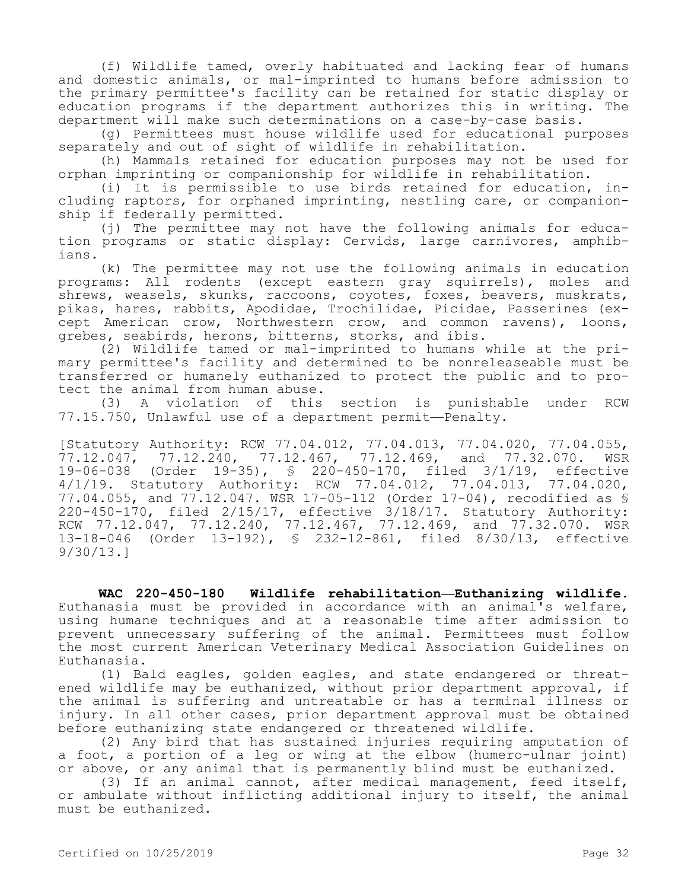(f) Wildlife tamed, overly habituated and lacking fear of humans and domestic animals, or mal-imprinted to humans before admission to the primary permittee's facility can be retained for static display or education programs if the department authorizes this in writing. The department will make such determinations on a case-by-case basis.

(g) Permittees must house wildlife used for educational purposes separately and out of sight of wildlife in rehabilitation.

(h) Mammals retained for education purposes may not be used for orphan imprinting or companionship for wildlife in rehabilitation.

(i) It is permissible to use birds retained for education, including raptors, for orphaned imprinting, nestling care, or companionship if federally permitted.

(j) The permittee may not have the following animals for education programs or static display: Cervids, large carnivores, amphibians.

(k) The permittee may not use the following animals in education programs: All rodents (except eastern gray squirrels), moles and shrews, weasels, skunks, raccoons, coyotes, foxes, beavers, muskrats, pikas, hares, rabbits, Apodidae, Trochilidae, Picidae, Passerines (except American crow, Northwestern crow, and common ravens), loons, grebes, seabirds, herons, bitterns, storks, and ibis.

(2) Wildlife tamed or mal-imprinted to humans while at the primary permittee's facility and determined to be nonreleaseable must be transferred or humanely euthanized to protect the public and to protect the animal from human abuse.

(3) A violation of this section is punishable under RCW 77.15.750, Unlawful use of a department permit—Penalty.

[Statutory Authority: RCW 77.04.012, 77.04.013, 77.04.020, 77.04.055, 77.12.047, 77.12.240, 77.12.467, 77.12.469, and 77.32.070. WSR 19-06-038 (Order 19-35), § 220-450-170, filed 3/1/19, effective 4/1/19. Statutory Authority: RCW 77.04.012, 77.04.013, 77.04.020, 77.04.055, and 77.12.047. WSR 17-05-112 (Order 17-04), recodified as § 220-450-170, filed 2/15/17, effective 3/18/17. Statutory Authority: RCW 77.12.047, 77.12.240, 77.12.467, 77.12.469, and 77.32.070. WSR 13-18-046 (Order 13-192), § 232-12-861, filed 8/30/13, effective 9/30/13.]

**WAC 220-450-180 Wildlife rehabilitation—Euthanizing wildlife.**  Euthanasia must be provided in accordance with an animal's welfare, using humane techniques and at a reasonable time after admission to prevent unnecessary suffering of the animal. Permittees must follow the most current American Veterinary Medical Association Guidelines on Euthanasia.

(1) Bald eagles, golden eagles, and state endangered or threatened wildlife may be euthanized, without prior department approval, if the animal is suffering and untreatable or has a terminal illness or injury. In all other cases, prior department approval must be obtained before euthanizing state endangered or threatened wildlife.

(2) Any bird that has sustained injuries requiring amputation of a foot, a portion of a leg or wing at the elbow (humero-ulnar joint) or above, or any animal that is permanently blind must be euthanized.

(3) If an animal cannot, after medical management, feed itself, or ambulate without inflicting additional injury to itself, the animal must be euthanized.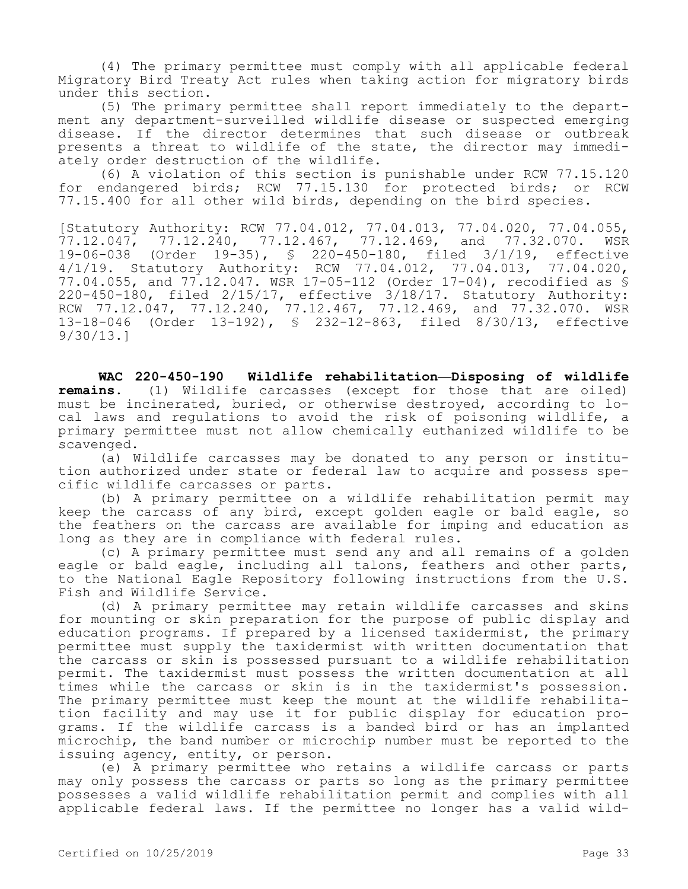(4) The primary permittee must comply with all applicable federal Migratory Bird Treaty Act rules when taking action for migratory birds under this section.

(5) The primary permittee shall report immediately to the department any department-surveilled wildlife disease or suspected emerging disease. If the director determines that such disease or outbreak presents a threat to wildlife of the state, the director may immediately order destruction of the wildlife.

(6) A violation of this section is punishable under RCW 77.15.120 for endangered birds; RCW 77.15.130 for protected birds; or RCW 77.15.400 for all other wild birds, depending on the bird species.

[Statutory Authority: RCW 77.04.012, 77.04.013, 77.04.020, 77.04.055,<br>77.12.047, 77.12.240, 77.12.467, 77.12.469, and 77.32.070. WSR 77.12.047, 77.12.240, 77.12.467, 77.12.469, and 77.32.070. WSR 19-06-038 (Order 19-35), § 220-450-180, filed 3/1/19, effective 4/1/19. Statutory Authority: RCW 77.04.012, 77.04.013, 77.04.020, 77.04.055, and 77.12.047. WSR 17-05-112 (Order 17-04), recodified as § 220-450-180, filed 2/15/17, effective 3/18/17. Statutory Authority: RCW 77.12.047, 77.12.240, 77.12.467, 77.12.469, and 77.32.070. WSR 13-18-046 (Order 13-192), § 232-12-863, filed 8/30/13, effective 9/30/13.]

**WAC 220-450-190 Wildlife rehabilitation—Disposing of wildlife remains.** (1) Wildlife carcasses (except for those that are oiled) must be incinerated, buried, or otherwise destroyed, according to local laws and regulations to avoid the risk of poisoning wildlife, a primary permittee must not allow chemically euthanized wildlife to be scavenged.

(a) Wildlife carcasses may be donated to any person or institution authorized under state or federal law to acquire and possess specific wildlife carcasses or parts.

(b) A primary permittee on a wildlife rehabilitation permit may keep the carcass of any bird, except golden eagle or bald eagle, so the feathers on the carcass are available for imping and education as long as they are in compliance with federal rules.

(c) A primary permittee must send any and all remains of a golden eagle or bald eagle, including all talons, feathers and other parts, to the National Eagle Repository following instructions from the U.S. Fish and Wildlife Service.

(d) A primary permittee may retain wildlife carcasses and skins for mounting or skin preparation for the purpose of public display and education programs. If prepared by a licensed taxidermist, the primary permittee must supply the taxidermist with written documentation that the carcass or skin is possessed pursuant to a wildlife rehabilitation permit. The taxidermist must possess the written documentation at all times while the carcass or skin is in the taxidermist's possession. The primary permittee must keep the mount at the wildlife rehabilitation facility and may use it for public display for education programs. If the wildlife carcass is a banded bird or has an implanted microchip, the band number or microchip number must be reported to the issuing agency, entity, or person.

(e) A primary permittee who retains a wildlife carcass or parts may only possess the carcass or parts so long as the primary permittee possesses a valid wildlife rehabilitation permit and complies with all applicable federal laws. If the permittee no longer has a valid wild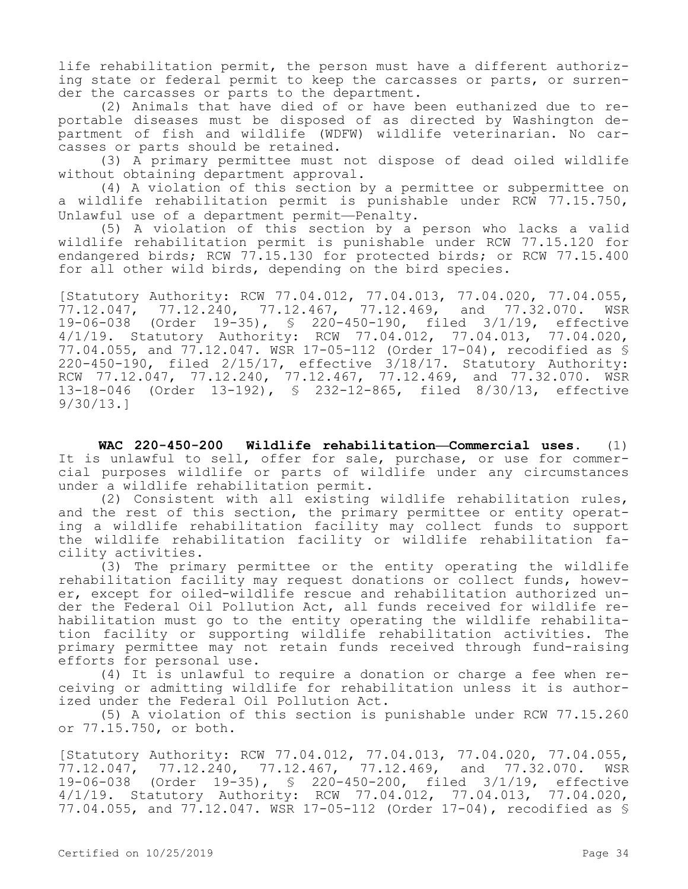life rehabilitation permit, the person must have a different authorizing state or federal permit to keep the carcasses or parts, or surrender the carcasses or parts to the department.

(2) Animals that have died of or have been euthanized due to reportable diseases must be disposed of as directed by Washington department of fish and wildlife (WDFW) wildlife veterinarian. No carcasses or parts should be retained.

(3) A primary permittee must not dispose of dead oiled wildlife without obtaining department approval.

(4) A violation of this section by a permittee or subpermittee on a wildlife rehabilitation permit is punishable under RCW 77.15.750, Unlawful use of a department permit—Penalty.

(5) A violation of this section by a person who lacks a valid wildlife rehabilitation permit is punishable under RCW 77.15.120 for endangered birds; RCW 77.15.130 for protected birds; or RCW 77.15.400 for all other wild birds, depending on the bird species.

[Statutory Authority: RCW 77.04.012, 77.04.013, 77.04.020, 77.04.055, 77.12.047, 77.12.240, 77.12.467, 77.12.469, and 77.32.070. WSR 19-06-038 (Order 19-35), § 220-450-190, filed 3/1/19, effective 4/1/19. Statutory Authority: RCW 77.04.012, 77.04.013, 77.04.020, 77.04.055, and 77.12.047. WSR 17-05-112 (Order 17-04), recodified as § 220-450-190, filed 2/15/17, effective 3/18/17. Statutory Authority: RCW 77.12.047, 77.12.240, 77.12.467, 77.12.469, and 77.32.070. WSR 13-18-046 (Order 13-192), § 232-12-865, filed 8/30/13, effective 9/30/13.]

**WAC 220-450-200 Wildlife rehabilitation—Commercial uses.** (1) It is unlawful to sell, offer for sale, purchase, or use for commercial purposes wildlife or parts of wildlife under any circumstances under a wildlife rehabilitation permit.

(2) Consistent with all existing wildlife rehabilitation rules, and the rest of this section, the primary permittee or entity operating a wildlife rehabilitation facility may collect funds to support the wildlife rehabilitation facility or wildlife rehabilitation facility activities.

(3) The primary permittee or the entity operating the wildlife rehabilitation facility may request donations or collect funds, however, except for oiled-wildlife rescue and rehabilitation authorized under the Federal Oil Pollution Act, all funds received for wildlife rehabilitation must go to the entity operating the wildlife rehabilitation facility or supporting wildlife rehabilitation activities. The primary permittee may not retain funds received through fund-raising efforts for personal use.

(4) It is unlawful to require a donation or charge a fee when receiving or admitting wildlife for rehabilitation unless it is authorized under the Federal Oil Pollution Act.

(5) A violation of this section is punishable under RCW 77.15.260 or 77.15.750, or both.

[Statutory Authority: RCW 77.04.012, 77.04.013, 77.04.020, 77.04.055, 77.12.047, 77.12.240, 77.12.467, 77.12.469, and 77.32.070. WSR 19-06-038 (Order 19-35), § 220-450-200, filed 3/1/19, effective 4/1/19. Statutory Authority: RCW 77.04.012, 77.04.013, 77.04.020, 77.04.055, and 77.12.047. WSR 17-05-112 (Order 17-04), recodified as §